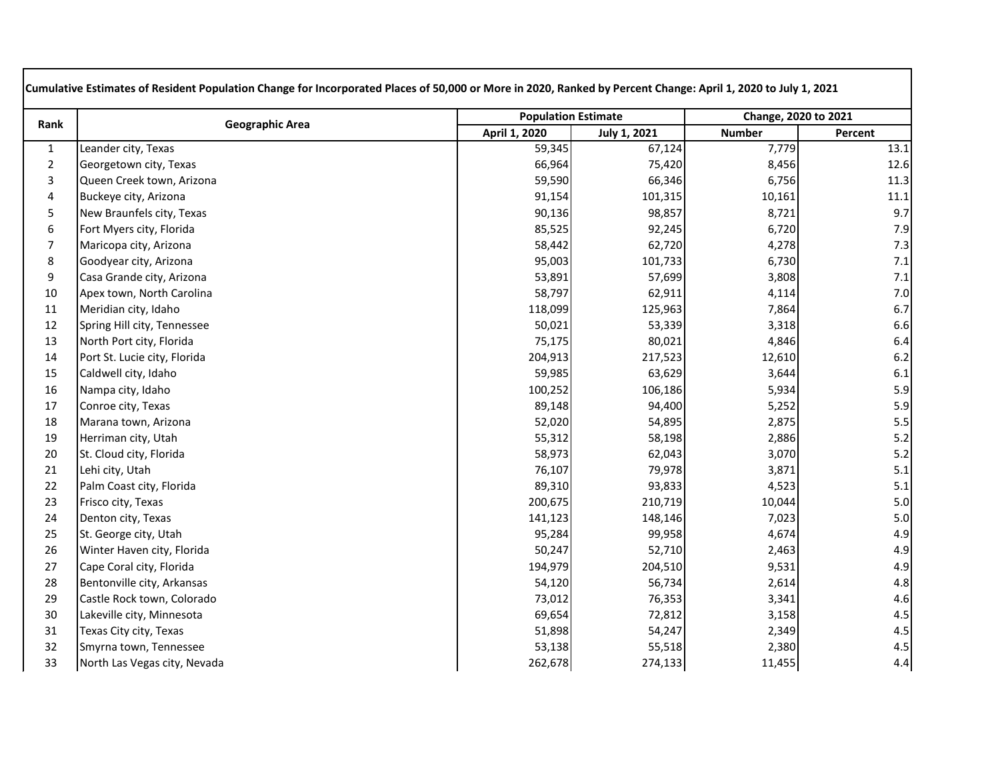| Rank           | <b>Geographic Area</b>       | <b>Population Estimate</b> |                     | Change, 2020 to 2021 |         |
|----------------|------------------------------|----------------------------|---------------------|----------------------|---------|
|                |                              | April 1, 2020              | <b>July 1, 2021</b> | <b>Number</b>        | Percent |
| $\mathbf{1}$   | Leander city, Texas          | 59,345                     | 67,124              | 7,779                | 13.1    |
| $\overline{2}$ | Georgetown city, Texas       | 66,964                     | 75,420              | 8,456                | 12.6    |
| 3              | Queen Creek town, Arizona    | 59,590                     | 66,346              | 6,756                | 11.3    |
| 4              | Buckeye city, Arizona        | 91,154                     | 101,315             | 10,161               | 11.1    |
| 5              | New Braunfels city, Texas    | 90,136                     | 98,857              | 8,721                | 9.7     |
| 6              | Fort Myers city, Florida     | 85,525                     | 92,245              | 6,720                | 7.9     |
| $\overline{7}$ | Maricopa city, Arizona       | 58,442                     | 62,720              | 4,278                | 7.3     |
| 8              | Goodyear city, Arizona       | 95,003                     | 101,733             | 6,730                | 7.1     |
| 9              | Casa Grande city, Arizona    | 53,891                     | 57,699              | 3,808                | 7.1     |
| 10             | Apex town, North Carolina    | 58,797                     | 62,911              | 4,114                | 7.0     |
| 11             | Meridian city, Idaho         | 118,099                    | 125,963             | 7,864                | 6.7     |
| 12             | Spring Hill city, Tennessee  | 50,021                     | 53,339              | 3,318                | 6.6     |
| 13             | North Port city, Florida     | 75,175                     | 80,021              | 4,846                | 6.4     |
| 14             | Port St. Lucie city, Florida | 204,913                    | 217,523             | 12,610               | 6.2     |
| 15             | Caldwell city, Idaho         | 59,985                     | 63,629              | 3,644                | 6.1     |
| 16             | Nampa city, Idaho            | 100,252                    | 106,186             | 5,934                | 5.9     |
| 17             | Conroe city, Texas           | 89,148                     | 94,400              | 5,252                | 5.9     |
| 18             | Marana town, Arizona         | 52,020                     | 54,895              | 2,875                | 5.5     |
| 19             | Herriman city, Utah          | 55,312                     | 58,198              | 2,886                | 5.2     |
| 20             | St. Cloud city, Florida      | 58,973                     | 62,043              | 3,070                | 5.2     |
| 21             | Lehi city, Utah              | 76,107                     | 79,978              | 3,871                | 5.1     |
| 22             | Palm Coast city, Florida     | 89,310                     | 93,833              | 4,523                | 5.1     |
| 23             | Frisco city, Texas           | 200,675                    | 210,719             | 10,044               | 5.0     |
| 24             | Denton city, Texas           | 141,123                    | 148,146             | 7,023                | 5.0     |
| 25             | St. George city, Utah        | 95,284                     | 99,958              | 4,674                | 4.9     |
| 26             | Winter Haven city, Florida   | 50,247                     | 52,710              | 2,463                | 4.9     |
| 27             | Cape Coral city, Florida     | 194,979                    | 204,510             | 9,531                | 4.9     |
| 28             | Bentonville city, Arkansas   | 54,120                     | 56,734              | 2,614                | 4.8     |
| 29             | Castle Rock town, Colorado   | 73,012                     | 76,353              | 3,341                | 4.6     |
| 30             | Lakeville city, Minnesota    | 69,654                     | 72,812              | 3,158                | 4.5     |
| 31             | Texas City city, Texas       | 51,898                     | 54,247              | 2,349                | 4.5     |
| 32             | Smyrna town, Tennessee       | 53,138                     | 55,518              | 2,380                | 4.5     |
| 33             | North Las Vegas city, Nevada | 262,678                    | 274,133             | 11,455               | 4.4     |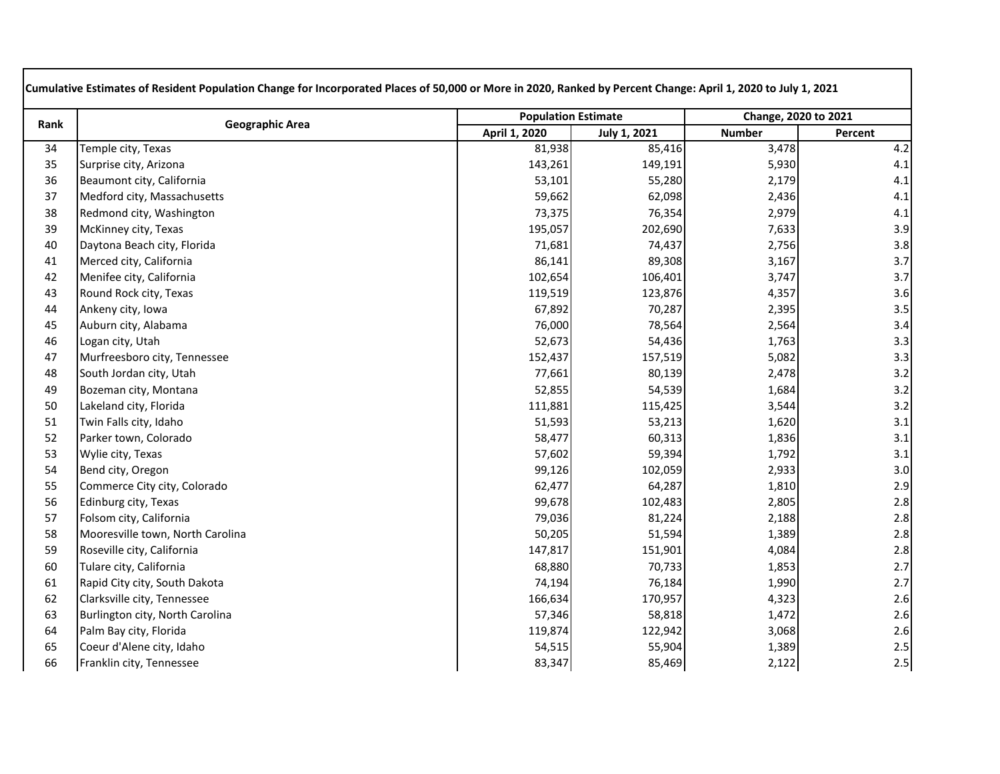| Rank | <b>Geographic Area</b>           | <b>Population Estimate</b> |                     | Change, 2020 to 2021 |         |
|------|----------------------------------|----------------------------|---------------------|----------------------|---------|
|      |                                  | April 1, 2020              | <b>July 1, 2021</b> | <b>Number</b>        | Percent |
| 34   | Temple city, Texas               | 81,938                     | 85,416              | 3,478                | 4.2     |
| 35   | Surprise city, Arizona           | 143,261                    | 149,191             | 5,930                | 4.1     |
| 36   | Beaumont city, California        | 53,101                     | 55,280              | 2,179                | 4.1     |
| 37   | Medford city, Massachusetts      | 59,662                     | 62,098              | 2,436                | 4.1     |
| 38   | Redmond city, Washington         | 73,375                     | 76,354              | 2,979                | 4.1     |
| 39   | McKinney city, Texas             | 195,057                    | 202,690             | 7,633                | 3.9     |
| 40   | Daytona Beach city, Florida      | 71,681                     | 74,437              | 2,756                | 3.8     |
| 41   | Merced city, California          | 86,141                     | 89,308              | 3,167                | 3.7     |
| 42   | Menifee city, California         | 102,654                    | 106,401             | 3,747                | 3.7     |
| 43   | Round Rock city, Texas           | 119,519                    | 123,876             | 4,357                | 3.6     |
| 44   | Ankeny city, Iowa                | 67,892                     | 70,287              | 2,395                | $3.5\,$ |
| 45   | Auburn city, Alabama             | 76,000                     | 78,564              | 2,564                | 3.4     |
| 46   | Logan city, Utah                 | 52,673                     | 54,436              | 1,763                | 3.3     |
| 47   | Murfreesboro city, Tennessee     | 152,437                    | 157,519             | 5,082                | 3.3     |
| 48   | South Jordan city, Utah          | 77,661                     | 80,139              | 2,478                | $3.2$   |
| 49   | Bozeman city, Montana            | 52,855                     | 54,539              | 1,684                | $3.2$   |
| 50   | Lakeland city, Florida           | 111,881                    | 115,425             | 3,544                | 3.2     |
| 51   | Twin Falls city, Idaho           | 51,593                     | 53,213              | 1,620                | 3.1     |
| 52   | Parker town, Colorado            | 58,477                     | 60,313              | 1,836                | 3.1     |
| 53   | Wylie city, Texas                | 57,602                     | 59,394              | 1,792                | 3.1     |
| 54   | Bend city, Oregon                | 99,126                     | 102,059             | 2,933                | 3.0     |
| 55   | Commerce City city, Colorado     | 62,477                     | 64,287              | 1,810                | 2.9     |
| 56   | Edinburg city, Texas             | 99,678                     | 102,483             | 2,805                | $2.8\,$ |
| 57   | Folsom city, California          | 79,036                     | 81,224              | 2,188                | 2.8     |
| 58   | Mooresville town, North Carolina | 50,205                     | 51,594              | 1,389                | 2.8     |
| 59   | Roseville city, California       | 147,817                    | 151,901             | 4,084                | $2.8$   |
| 60   | Tulare city, California          | 68,880                     | 70,733              | 1,853                | 2.7     |
| 61   | Rapid City city, South Dakota    | 74,194                     | 76,184              | 1,990                | 2.7     |
| 62   | Clarksville city, Tennessee      | 166,634                    | 170,957             | 4,323                | 2.6     |
| 63   | Burlington city, North Carolina  | 57,346                     | 58,818              | 1,472                | 2.6     |
| 64   | Palm Bay city, Florida           | 119,874                    | 122,942             | 3,068                | 2.6     |
| 65   | Coeur d'Alene city, Idaho        | 54,515                     | 55,904              | 1,389                | 2.5     |
| 66   | Franklin city, Tennessee         | 83,347                     | 85,469              | 2,122                | 2.5     |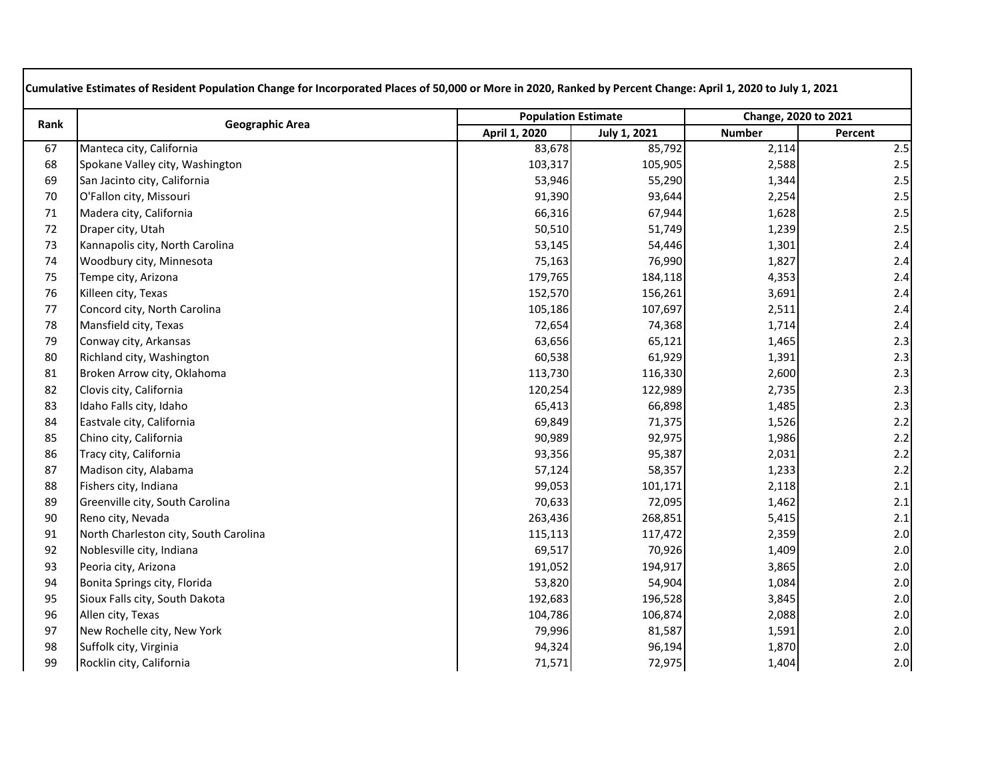| Rank | <b>Geographic Area</b>                | <b>Population Estimate</b> |                     | Change, 2020 to 2021 |         |
|------|---------------------------------------|----------------------------|---------------------|----------------------|---------|
|      |                                       | April 1, 2020              | <b>July 1, 2021</b> | <b>Number</b>        | Percent |
| 67   | Manteca city, California              | 83,678                     | 85,792              | 2,114                | $2.5$   |
| 68   | Spokane Valley city, Washington       | 103,317                    | 105,905             | 2,588                | $2.5\,$ |
| 69   | San Jacinto city, California          | 53,946                     | 55,290              | 1,344                | 2.5     |
| 70   | O'Fallon city, Missouri               | 91,390                     | 93,644              | 2,254                | $2.5\,$ |
| 71   | Madera city, California               | 66,316                     | 67,944              | 1,628                | $2.5\,$ |
| 72   | Draper city, Utah                     | 50,510                     | 51,749              | 1,239                | $2.5\,$ |
| 73   | Kannapolis city, North Carolina       | 53,145                     | 54,446              | 1,301                | $2.4$   |
| 74   | Woodbury city, Minnesota              | 75,163                     | 76,990              | 1,827                | 2.4     |
| 75   | Tempe city, Arizona                   | 179,765                    | 184,118             | 4,353                | 2.4     |
| 76   | Killeen city, Texas                   | 152,570                    | 156,261             | 3,691                | 2.4     |
| 77   | Concord city, North Carolina          | 105,186                    | 107,697             | 2,511                | 2.4     |
| 78   | Mansfield city, Texas                 | 72,654                     | 74,368              | 1,714                | 2.4     |
| 79   | Conway city, Arkansas                 | 63,656                     | 65,121              | 1,465                | 2.3     |
| 80   | Richland city, Washington             | 60,538                     | 61,929              | 1,391                | $2.3$   |
| 81   | Broken Arrow city, Oklahoma           | 113,730                    | 116,330             | 2,600                | 2.3     |
| 82   | Clovis city, California               | 120,254                    | 122,989             | 2,735                | 2.3     |
| 83   | Idaho Falls city, Idaho               | 65,413                     | 66,898              | 1,485                | 2.3     |
| 84   | Eastvale city, California             | 69,849                     | 71,375              | 1,526                | $2.2$   |
| 85   | Chino city, California                | 90,989                     | 92,975              | 1,986                | $2.2$   |
| 86   | Tracy city, California                | 93,356                     | 95,387              | 2,031                | 2.2     |
| 87   | Madison city, Alabama                 | 57,124                     | 58,357              | 1,233                | $2.2\,$ |
| 88   | Fishers city, Indiana                 | 99,053                     | 101,171             | 2,118                | 2.1     |
| 89   | Greenville city, South Carolina       | 70,633                     | 72,095              | 1,462                | 2.1     |
| 90   | Reno city, Nevada                     | 263,436                    | 268,851             | 5,415                | 2.1     |
| 91   | North Charleston city, South Carolina | 115,113                    | 117,472             | 2,359                | 2.0     |
| 92   | Noblesville city, Indiana             | 69,517                     | 70,926              | 1,409                | $2.0$   |
| 93   | Peoria city, Arizona                  | 191,052                    | 194,917             | 3,865                | $2.0$   |
| 94   | Bonita Springs city, Florida          | 53,820                     | 54,904              | 1,084                | 2.0     |
| 95   | Sioux Falls city, South Dakota        | 192,683                    | 196,528             | 3,845                | 2.0     |
| 96   | Allen city, Texas                     | 104,786                    | 106,874             | 2,088                | 2.0     |
| 97   | New Rochelle city, New York           | 79,996                     | 81,587              | 1,591                | 2.0     |
| 98   | Suffolk city, Virginia                | 94,324                     | 96,194              | 1,870                | 2.0     |
| 99   | Rocklin city, California              | 71,571                     | 72,975              | 1,404                | 2.0     |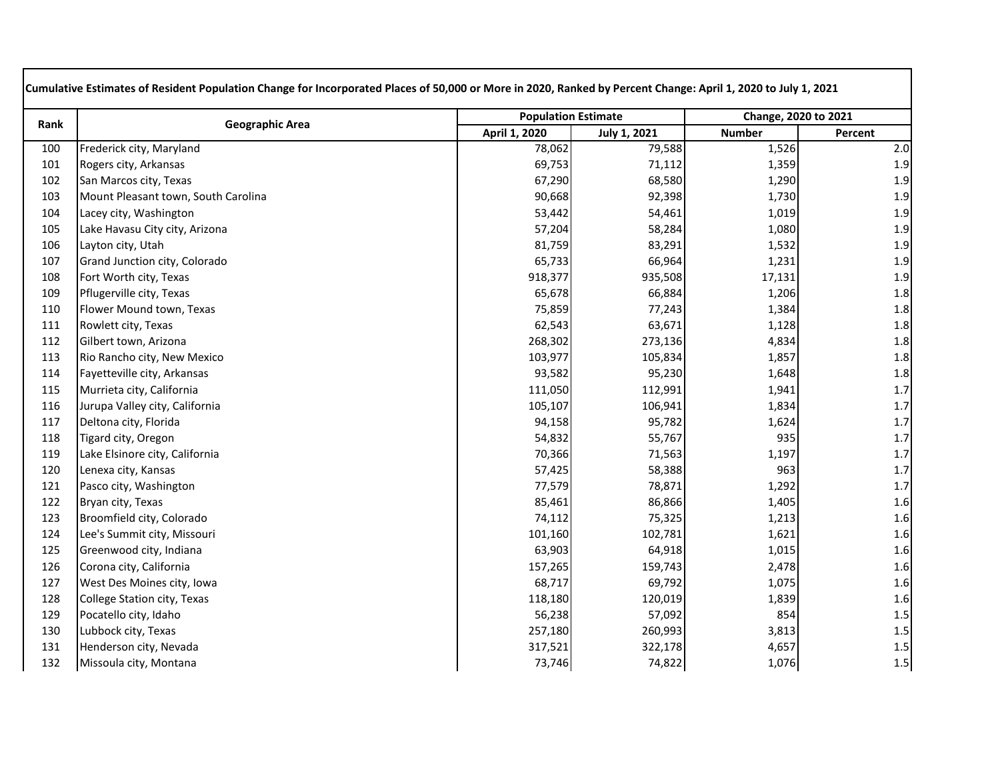| Rank | <b>Geographic Area</b>              | <b>Population Estimate</b> |                     | Change, 2020 to 2021 |         |
|------|-------------------------------------|----------------------------|---------------------|----------------------|---------|
|      |                                     | April 1, 2020              | <b>July 1, 2021</b> | <b>Number</b>        | Percent |
| 100  | Frederick city, Maryland            | 78,062                     | 79,588              | 1,526                | 2.0     |
| 101  | Rogers city, Arkansas               | 69,753                     | 71,112              | 1,359                | 1.9     |
| 102  | San Marcos city, Texas              | 67,290                     | 68,580              | 1,290                | 1.9     |
| 103  | Mount Pleasant town, South Carolina | 90,668                     | 92,398              | 1,730                | $1.9\,$ |
| 104  | Lacey city, Washington              | 53,442                     | 54,461              | 1,019                | $1.9\,$ |
| 105  | Lake Havasu City city, Arizona      | 57,204                     | 58,284              | 1,080                | 1.9     |
| 106  | Layton city, Utah                   | 81,759                     | 83,291              | 1,532                | 1.9     |
| 107  | Grand Junction city, Colorado       | 65,733                     | 66,964              | 1,231                | 1.9     |
| 108  | Fort Worth city, Texas              | 918,377                    | 935,508             | 17,131               | $1.9\,$ |
| 109  | Pflugerville city, Texas            | 65,678                     | 66,884              | 1,206                | 1.8     |
| 110  | Flower Mound town, Texas            | 75,859                     | 77,243              | 1,384                | 1.8     |
| 111  | Rowlett city, Texas                 | 62,543                     | 63,671              | 1,128                | 1.8     |
| 112  | Gilbert town, Arizona               | 268,302                    | 273,136             | 4,834                | 1.8     |
| 113  | Rio Rancho city, New Mexico         | 103,977                    | 105,834             | 1,857                | $1.8\,$ |
| 114  | Fayetteville city, Arkansas         | 93,582                     | 95,230              | 1,648                | 1.8     |
| 115  | Murrieta city, California           | 111,050                    | 112,991             | 1,941                | $1.7\,$ |
| 116  | Jurupa Valley city, California      | 105,107                    | 106,941             | 1,834                | $1.7\,$ |
| 117  | Deltona city, Florida               | 94,158                     | 95,782              | 1,624                | $1.7\,$ |
| 118  | Tigard city, Oregon                 | 54,832                     | 55,767              | 935                  | $1.7\,$ |
| 119  | Lake Elsinore city, California      | 70,366                     | 71,563              | 1,197                | $1.7\,$ |
| 120  | Lenexa city, Kansas                 | 57,425                     | 58,388              | 963                  | $1.7\,$ |
| 121  | Pasco city, Washington              | 77,579                     | 78,871              | 1,292                | $1.7\,$ |
| 122  | Bryan city, Texas                   | 85,461                     | 86,866              | 1,405                | 1.6     |
| 123  | Broomfield city, Colorado           | 74,112                     | 75,325              | 1,213                | 1.6     |
| 124  | Lee's Summit city, Missouri         | 101,160                    | 102,781             | 1,621                | 1.6     |
| 125  | Greenwood city, Indiana             | 63,903                     | 64,918              | 1,015                | 1.6     |
| 126  | Corona city, California             | 157,265                    | 159,743             | 2,478                | $1.6\,$ |
| 127  | West Des Moines city, Iowa          | 68,717                     | 69,792              | 1,075                | 1.6     |
| 128  | College Station city, Texas         | 118,180                    | 120,019             | 1,839                | 1.6     |
| 129  | Pocatello city, Idaho               | 56,238                     | 57,092              | 854                  | 1.5     |
| 130  | Lubbock city, Texas                 | 257,180                    | 260,993             | 3,813                | $1.5\,$ |
| 131  | Henderson city, Nevada              | 317,521                    | 322,178             | 4,657                | 1.5     |
| 132  | Missoula city, Montana              | 73,746                     | 74,822              | 1,076                | 1.5     |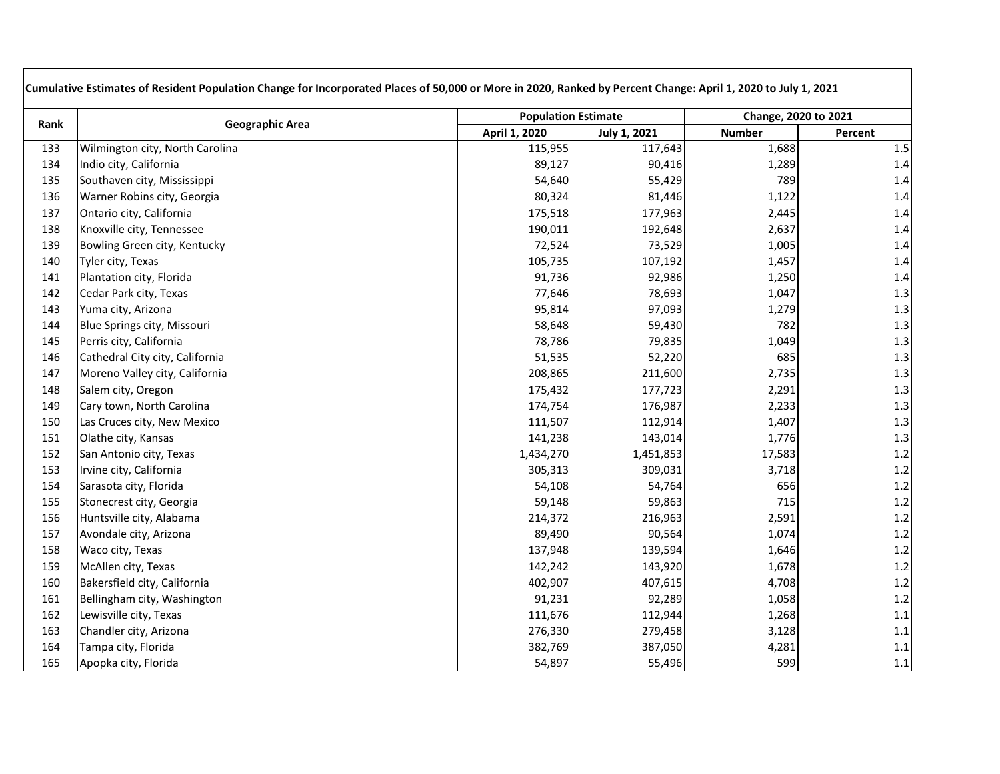| Rank | <b>Geographic Area</b>          | <b>Population Estimate</b> |              | Change, 2020 to 2021 |         |
|------|---------------------------------|----------------------------|--------------|----------------------|---------|
|      |                                 | April 1, 2020              | July 1, 2021 | <b>Number</b>        | Percent |
| 133  | Wilmington city, North Carolina | 115,955                    | 117,643      | 1,688                | $1.5\,$ |
| 134  | Indio city, California          | 89,127                     | 90,416       | 1,289                | 1.4     |
| 135  | Southaven city, Mississippi     | 54,640                     | 55,429       | 789                  | 1.4     |
| 136  | Warner Robins city, Georgia     | 80,324                     | 81,446       | 1,122                | 1.4     |
| 137  | Ontario city, California        | 175,518                    | 177,963      | 2,445                | 1.4     |
| 138  | Knoxville city, Tennessee       | 190,011                    | 192,648      | 2,637                | $1.4\,$ |
| 139  | Bowling Green city, Kentucky    | 72,524                     | 73,529       | 1,005                | $1.4\,$ |
| 140  | Tyler city, Texas               | 105,735                    | 107,192      | 1,457                | $1.4\,$ |
| 141  | Plantation city, Florida        | 91,736                     | 92,986       | 1,250                | 1.4     |
| 142  | Cedar Park city, Texas          | 77,646                     | 78,693       | 1,047                | 1.3     |
| 143  | Yuma city, Arizona              | 95,814                     | 97,093       | 1,279                | 1.3     |
| 144  | Blue Springs city, Missouri     | 58,648                     | 59,430       | 782                  | $1.3\,$ |
| 145  | Perris city, California         | 78,786                     | 79,835       | 1,049                | 1.3     |
| 146  | Cathedral City city, California | 51,535                     | 52,220       | 685                  | 1.3     |
| 147  | Moreno Valley city, California  | 208,865                    | 211,600      | 2,735                | 1.3     |
| 148  | Salem city, Oregon              | 175,432                    | 177,723      | 2,291                | 1.3     |
| 149  | Cary town, North Carolina       | 174,754                    | 176,987      | 2,233                | $1.3\,$ |
| 150  | Las Cruces city, New Mexico     | 111,507                    | 112,914      | 1,407                | 1.3     |
| 151  | Olathe city, Kansas             | 141,238                    | 143,014      | 1,776                | $1.3$   |
| 152  | San Antonio city, Texas         | 1,434,270                  | 1,451,853    | 17,583               | $1.2\,$ |
| 153  | Irvine city, California         | 305,313                    | 309,031      | 3,718                | $1.2\,$ |
| 154  | Sarasota city, Florida          | 54,108                     | 54,764       | 656                  | $1.2\,$ |
| 155  | Stonecrest city, Georgia        | 59,148                     | 59,863       | 715                  | $1.2\,$ |
| 156  | Huntsville city, Alabama        | 214,372                    | 216,963      | 2,591                | $1.2$   |
| 157  | Avondale city, Arizona          | 89,490                     | 90,564       | 1,074                | $1.2$   |
| 158  | Waco city, Texas                | 137,948                    | 139,594      | 1,646                | $1.2\,$ |
| 159  | McAllen city, Texas             | 142,242                    | 143,920      | 1,678                | $1.2$   |
| 160  | Bakersfield city, California    | 402,907                    | 407,615      | 4,708                | 1.2     |
| 161  | Bellingham city, Washington     | 91,231                     | 92,289       | 1,058                | 1.2     |
| 162  | Lewisville city, Texas          | 111,676                    | 112,944      | 1,268                | 1.1     |
| 163  | Chandler city, Arizona          | 276,330                    | 279,458      | 3,128                | 1.1     |
| 164  | Tampa city, Florida             | 382,769                    | 387,050      | 4,281                | 1.1     |
| 165  | Apopka city, Florida            | 54,897                     | 55,496       | 599                  | 1.1     |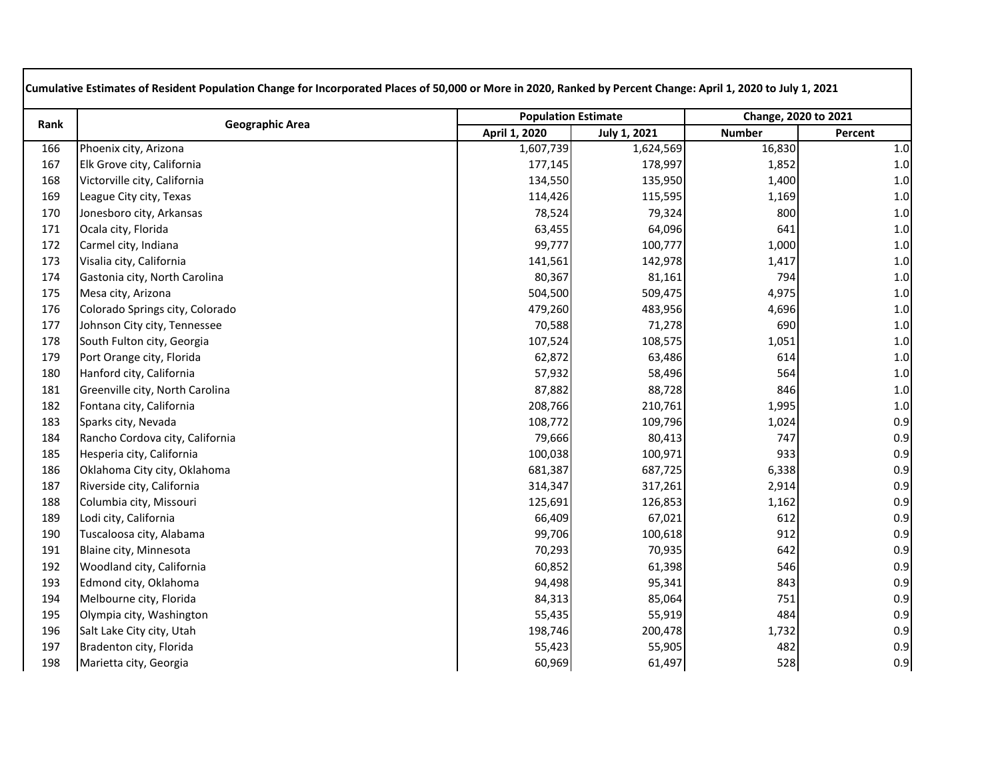| Rank | <b>Geographic Area</b>          | <b>Population Estimate</b> |              | Change, 2020 to 2021 |         |
|------|---------------------------------|----------------------------|--------------|----------------------|---------|
|      |                                 | April 1, 2020              | July 1, 2021 | <b>Number</b>        | Percent |
| 166  | Phoenix city, Arizona           | 1,607,739                  | 1,624,569    | 16,830               | $1.0\,$ |
| 167  | Elk Grove city, California      | 177,145                    | 178,997      | 1,852                | $1.0\,$ |
| 168  | Victorville city, California    | 134,550                    | 135,950      | 1,400                | $1.0\,$ |
| 169  | League City city, Texas         | 114,426                    | 115,595      | 1,169                | $1.0\,$ |
| 170  | Jonesboro city, Arkansas        | 78,524                     | 79,324       | 800                  | $1.0\,$ |
| 171  | Ocala city, Florida             | 63,455                     | 64,096       | 641                  | $1.0\,$ |
| 172  | Carmel city, Indiana            | 99,777                     | 100,777      | 1,000                | $1.0\,$ |
| 173  | Visalia city, California        | 141,561                    | 142,978      | 1,417                | $1.0\,$ |
| 174  | Gastonia city, North Carolina   | 80,367                     | 81,161       | 794                  | $1.0\,$ |
| 175  | Mesa city, Arizona              | 504,500                    | 509,475      | 4,975                | $1.0\,$ |
| 176  | Colorado Springs city, Colorado | 479,260                    | 483,956      | 4,696                | $1.0\,$ |
| 177  | Johnson City city, Tennessee    | 70,588                     | 71,278       | 690                  | $1.0\,$ |
| 178  | South Fulton city, Georgia      | 107,524                    | 108,575      | 1,051                | $1.0\,$ |
| 179  | Port Orange city, Florida       | 62,872                     | 63,486       | 614                  | $1.0\,$ |
| 180  | Hanford city, California        | 57,932                     | 58,496       | 564                  | $1.0\,$ |
| 181  | Greenville city, North Carolina | 87,882                     | 88,728       | 846                  | $1.0\,$ |
| 182  | Fontana city, California        | 208,766                    | 210,761      | 1,995                | $1.0\,$ |
| 183  | Sparks city, Nevada             | 108,772                    | 109,796      | 1,024                | 0.9     |
| 184  | Rancho Cordova city, California | 79,666                     | 80,413       | 747                  | 0.9     |
| 185  | Hesperia city, California       | 100,038                    | 100,971      | 933                  | 0.9     |
| 186  | Oklahoma City city, Oklahoma    | 681,387                    | 687,725      | 6,338                | 0.9     |
| 187  | Riverside city, California      | 314,347                    | 317,261      | 2,914                | 0.9     |
| 188  | Columbia city, Missouri         | 125,691                    | 126,853      | 1,162                | 0.9     |
| 189  | Lodi city, California           | 66,409                     | 67,021       | 612                  | 0.9     |
| 190  | Tuscaloosa city, Alabama        | 99,706                     | 100,618      | 912                  | 0.9     |
| 191  | Blaine city, Minnesota          | 70,293                     | 70,935       | 642                  | 0.9     |
| 192  | Woodland city, California       | 60,852                     | 61,398       | 546                  | 0.9     |
| 193  | Edmond city, Oklahoma           | 94,498                     | 95,341       | 843                  | 0.9     |
| 194  | Melbourne city, Florida         | 84,313                     | 85,064       | 751                  | 0.9     |
| 195  | Olympia city, Washington        | 55,435                     | 55,919       | 484                  | 0.9     |
| 196  | Salt Lake City city, Utah       | 198,746                    | 200,478      | 1,732                | 0.9     |
| 197  | Bradenton city, Florida         | 55,423                     | 55,905       | 482                  | 0.9     |
| 198  | Marietta city, Georgia          | 60,969                     | 61,497       | 528                  | 0.9     |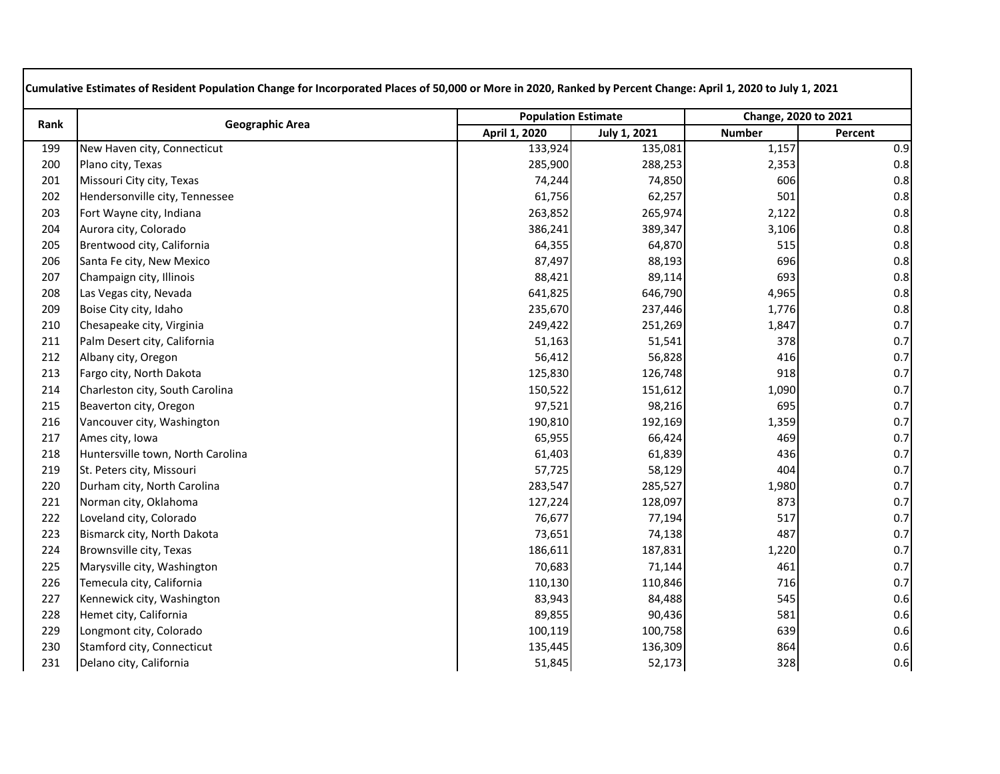| Rank | <b>Geographic Area</b>            | <b>Population Estimate</b> |                     | Change, 2020 to 2021 |         |
|------|-----------------------------------|----------------------------|---------------------|----------------------|---------|
|      |                                   | April 1, 2020              | <b>July 1, 2021</b> | <b>Number</b>        | Percent |
| 199  | New Haven city, Connecticut       | 133,924                    | 135,081             | 1,157                | 0.9     |
| 200  | Plano city, Texas                 | 285,900                    | 288,253             | 2,353                | 0.8     |
| 201  | Missouri City city, Texas         | 74,244                     | 74,850              | 606                  | 0.8     |
| 202  | Hendersonville city, Tennessee    | 61,756                     | 62,257              | 501                  | 0.8     |
| 203  | Fort Wayne city, Indiana          | 263,852                    | 265,974             | 2,122                | 0.8     |
| 204  | Aurora city, Colorado             | 386,241                    | 389,347             | 3,106                | 0.8     |
| 205  | Brentwood city, California        | 64,355                     | 64,870              | 515                  | 0.8     |
| 206  | Santa Fe city, New Mexico         | 87,497                     | 88,193              | 696                  | 0.8     |
| 207  | Champaign city, Illinois          | 88,421                     | 89,114              | 693                  | 0.8     |
| 208  | Las Vegas city, Nevada            | 641,825                    | 646,790             | 4,965                | 0.8     |
| 209  | Boise City city, Idaho            | 235,670                    | 237,446             | 1,776                | 0.8     |
| 210  | Chesapeake city, Virginia         | 249,422                    | 251,269             | 1,847                | 0.7     |
| 211  | Palm Desert city, California      | 51,163                     | 51,541              | 378                  | 0.7     |
| 212  | Albany city, Oregon               | 56,412                     | 56,828              | 416                  | 0.7     |
| 213  | Fargo city, North Dakota          | 125,830                    | 126,748             | 918                  | 0.7     |
| 214  | Charleston city, South Carolina   | 150,522                    | 151,612             | 1,090                | 0.7     |
| 215  | Beaverton city, Oregon            | 97,521                     | 98,216              | 695                  | 0.7     |
| 216  | Vancouver city, Washington        | 190,810                    | 192,169             | 1,359                | 0.7     |
| 217  | Ames city, Iowa                   | 65,955                     | 66,424              | 469                  | 0.7     |
| 218  | Huntersville town, North Carolina | 61,403                     | 61,839              | 436                  | 0.7     |
| 219  | St. Peters city, Missouri         | 57,725                     | 58,129              | 404                  | 0.7     |
| 220  | Durham city, North Carolina       | 283,547                    | 285,527             | 1,980                | 0.7     |
| 221  | Norman city, Oklahoma             | 127,224                    | 128,097             | 873                  | 0.7     |
| 222  | Loveland city, Colorado           | 76,677                     | 77,194              | 517                  | 0.7     |
| 223  | Bismarck city, North Dakota       | 73,651                     | 74,138              | 487                  | 0.7     |
| 224  | Brownsville city, Texas           | 186,611                    | 187,831             | 1,220                | 0.7     |
| 225  | Marysville city, Washington       | 70,683                     | 71,144              | 461                  | 0.7     |
| 226  | Temecula city, California         | 110,130                    | 110,846             | 716                  | 0.7     |
| 227  | Kennewick city, Washington        | 83,943                     | 84,488              | 545                  | 0.6     |
| 228  | Hemet city, California            | 89,855                     | 90,436              | 581                  | 0.6     |
| 229  | Longmont city, Colorado           | 100,119                    | 100,758             | 639                  | 0.6     |
| 230  | Stamford city, Connecticut        | 135,445                    | 136,309             | 864                  | 0.6     |
| 231  | Delano city, California           | 51,845                     | 52,173              | 328                  | 0.6     |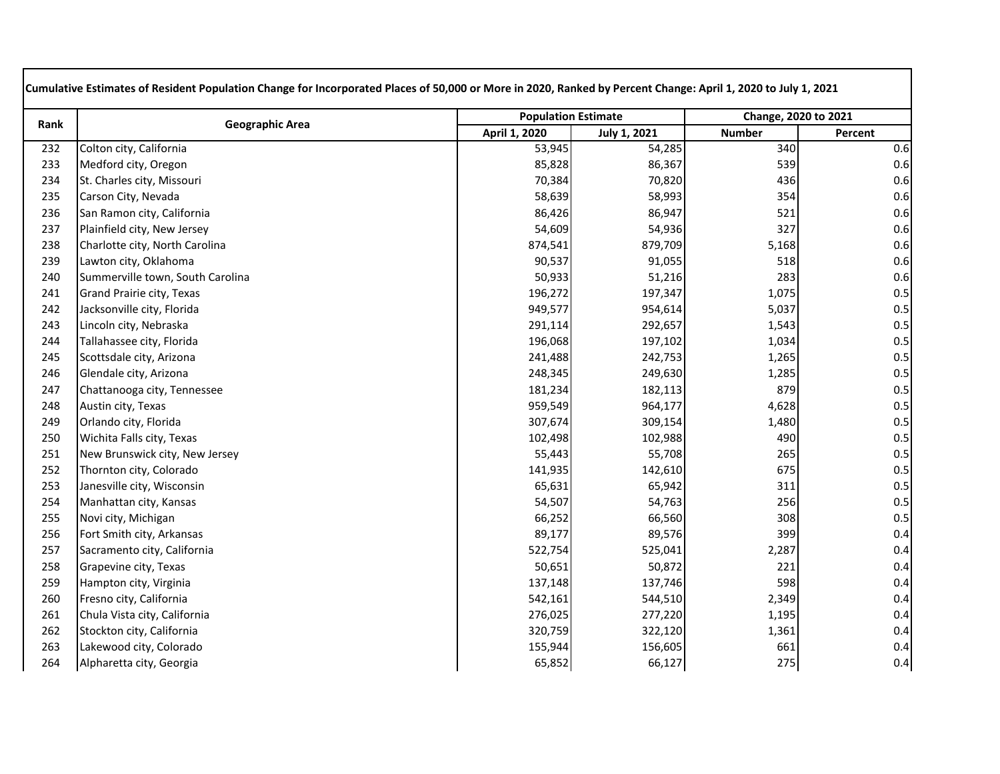| Rank | <b>Geographic Area</b>           | <b>Population Estimate</b> |              | Change, 2020 to 2021 |         |
|------|----------------------------------|----------------------------|--------------|----------------------|---------|
|      |                                  | April 1, 2020              | July 1, 2021 | <b>Number</b>        | Percent |
| 232  | Colton city, California          | 53,945                     | 54,285       | 340                  | 0.6     |
| 233  | Medford city, Oregon             | 85,828                     | 86,367       | 539                  | 0.6     |
| 234  | St. Charles city, Missouri       | 70,384                     | 70,820       | 436                  | 0.6     |
| 235  | Carson City, Nevada              | 58,639                     | 58,993       | 354                  | 0.6     |
| 236  | San Ramon city, California       | 86,426                     | 86,947       | 521                  | 0.6     |
| 237  | Plainfield city, New Jersey      | 54,609                     | 54,936       | 327                  | 0.6     |
| 238  | Charlotte city, North Carolina   | 874,541                    | 879,709      | 5,168                | 0.6     |
| 239  | Lawton city, Oklahoma            | 90,537                     | 91,055       | 518                  | 0.6     |
| 240  | Summerville town, South Carolina | 50,933                     | 51,216       | 283                  | 0.6     |
| 241  | Grand Prairie city, Texas        | 196,272                    | 197,347      | 1,075                | 0.5     |
| 242  | Jacksonville city, Florida       | 949,577                    | 954,614      | 5,037                | 0.5     |
| 243  | Lincoln city, Nebraska           | 291,114                    | 292,657      | 1,543                | 0.5     |
| 244  | Tallahassee city, Florida        | 196,068                    | 197,102      | 1,034                | 0.5     |
| 245  | Scottsdale city, Arizona         | 241,488                    | 242,753      | 1,265                | 0.5     |
| 246  | Glendale city, Arizona           | 248,345                    | 249,630      | 1,285                | 0.5     |
| 247  | Chattanooga city, Tennessee      | 181,234                    | 182,113      | 879                  | 0.5     |
| 248  | Austin city, Texas               | 959,549                    | 964,177      | 4,628                | 0.5     |
| 249  | Orlando city, Florida            | 307,674                    | 309,154      | 1,480                | 0.5     |
| 250  | Wichita Falls city, Texas        | 102,498                    | 102,988      | 490                  | 0.5     |
| 251  | New Brunswick city, New Jersey   | 55,443                     | 55,708       | 265                  | 0.5     |
| 252  | Thornton city, Colorado          | 141,935                    | 142,610      | 675                  | 0.5     |
| 253  | Janesville city, Wisconsin       | 65,631                     | 65,942       | 311                  | 0.5     |
| 254  | Manhattan city, Kansas           | 54,507                     | 54,763       | 256                  | 0.5     |
| 255  | Novi city, Michigan              | 66,252                     | 66,560       | 308                  | 0.5     |
| 256  | Fort Smith city, Arkansas        | 89,177                     | 89,576       | 399                  | 0.4     |
| 257  | Sacramento city, California      | 522,754                    | 525,041      | 2,287                | 0.4     |
| 258  | Grapevine city, Texas            | 50,651                     | 50,872       | 221                  | 0.4     |
| 259  | Hampton city, Virginia           | 137,148                    | 137,746      | 598                  | 0.4     |
| 260  | Fresno city, California          | 542,161                    | 544,510      | 2,349                | 0.4     |
| 261  | Chula Vista city, California     | 276,025                    | 277,220      | 1,195                | 0.4     |
| 262  | Stockton city, California        | 320,759                    | 322,120      | 1,361                | 0.4     |
| 263  | Lakewood city, Colorado          | 155,944                    | 156,605      | 661                  | 0.4     |
| 264  | Alpharetta city, Georgia         | 65,852                     | 66,127       | 275                  | 0.4     |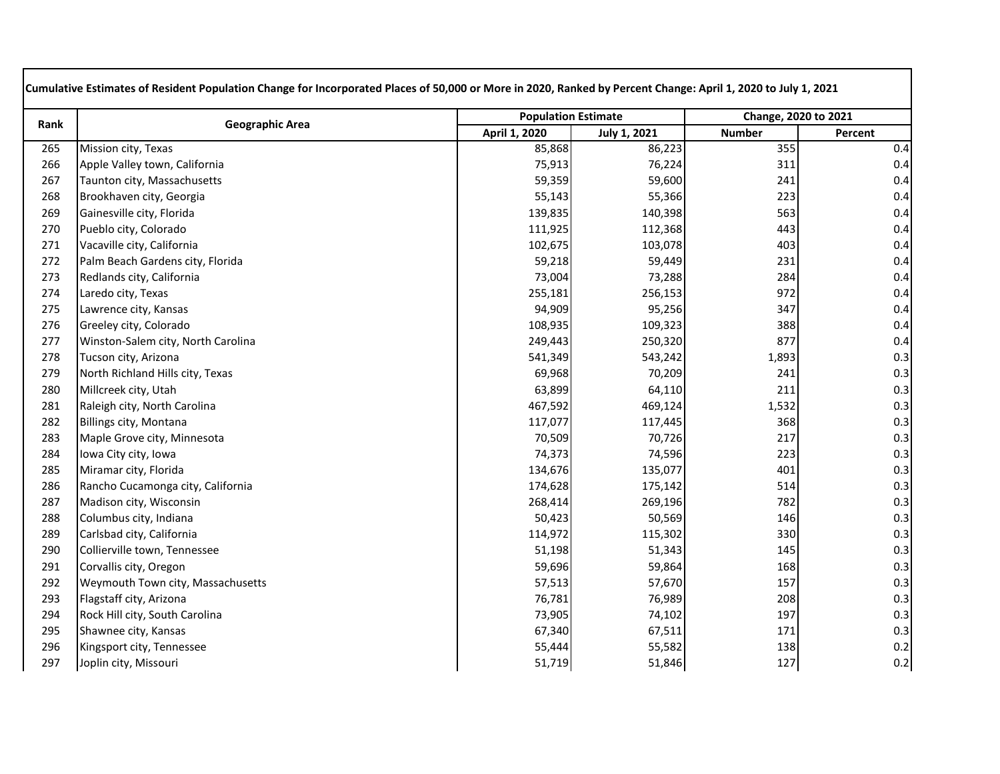| Rank | <b>Geographic Area</b>             | <b>Population Estimate</b> |                     | Change, 2020 to 2021 |         |
|------|------------------------------------|----------------------------|---------------------|----------------------|---------|
|      |                                    | April 1, 2020              | <b>July 1, 2021</b> | <b>Number</b>        | Percent |
| 265  | Mission city, Texas                | 85,868                     | 86,223              | 355                  | 0.4     |
| 266  | Apple Valley town, California      | 75,913                     | 76,224              | 311                  | 0.4     |
| 267  | Taunton city, Massachusetts        | 59,359                     | 59,600              | 241                  | 0.4     |
| 268  | Brookhaven city, Georgia           | 55,143                     | 55,366              | 223                  | 0.4     |
| 269  | Gainesville city, Florida          | 139,835                    | 140,398             | 563                  | 0.4     |
| 270  | Pueblo city, Colorado              | 111,925                    | 112,368             | 443                  | 0.4     |
| 271  | Vacaville city, California         | 102,675                    | 103,078             | 403                  | 0.4     |
| 272  | Palm Beach Gardens city, Florida   | 59,218                     | 59,449              | 231                  | 0.4     |
| 273  | Redlands city, California          | 73,004                     | 73,288              | 284                  | 0.4     |
| 274  | Laredo city, Texas                 | 255,181                    | 256,153             | 972                  | 0.4     |
| 275  | Lawrence city, Kansas              | 94,909                     | 95,256              | 347                  | 0.4     |
| 276  | Greeley city, Colorado             | 108,935                    | 109,323             | 388                  | 0.4     |
| 277  | Winston-Salem city, North Carolina | 249,443                    | 250,320             | 877                  | 0.4     |
| 278  | Tucson city, Arizona               | 541,349                    | 543,242             | 1,893                | 0.3     |
| 279  | North Richland Hills city, Texas   | 69,968                     | 70,209              | 241                  | 0.3     |
| 280  | Millcreek city, Utah               | 63,899                     | 64,110              | 211                  | 0.3     |
| 281  | Raleigh city, North Carolina       | 467,592                    | 469,124             | 1,532                | 0.3     |
| 282  | Billings city, Montana             | 117,077                    | 117,445             | 368                  | 0.3     |
| 283  | Maple Grove city, Minnesota        | 70,509                     | 70,726              | 217                  | 0.3     |
| 284  | Iowa City city, Iowa               | 74,373                     | 74,596              | 223                  | 0.3     |
| 285  | Miramar city, Florida              | 134,676                    | 135,077             | 401                  | 0.3     |
| 286  | Rancho Cucamonga city, California  | 174,628                    | 175,142             | 514                  | 0.3     |
| 287  | Madison city, Wisconsin            | 268,414                    | 269,196             | 782                  | 0.3     |
| 288  | Columbus city, Indiana             | 50,423                     | 50,569              | 146                  | 0.3     |
| 289  | Carlsbad city, California          | 114,972                    | 115,302             | 330                  | 0.3     |
| 290  | Collierville town, Tennessee       | 51,198                     | 51,343              | 145                  | 0.3     |
| 291  | Corvallis city, Oregon             | 59,696                     | 59,864              | 168                  | 0.3     |
| 292  | Weymouth Town city, Massachusetts  | 57,513                     | 57,670              | 157                  | 0.3     |
| 293  | Flagstaff city, Arizona            | 76,781                     | 76,989              | 208                  | 0.3     |
| 294  | Rock Hill city, South Carolina     | 73,905                     | 74,102              | 197                  | 0.3     |
| 295  | Shawnee city, Kansas               | 67,340                     | 67,511              | 171                  | 0.3     |
| 296  | Kingsport city, Tennessee          | 55,444                     | 55,582              | 138                  | 0.2     |
| 297  | Joplin city, Missouri              | 51,719                     | 51,846              | 127                  | 0.2     |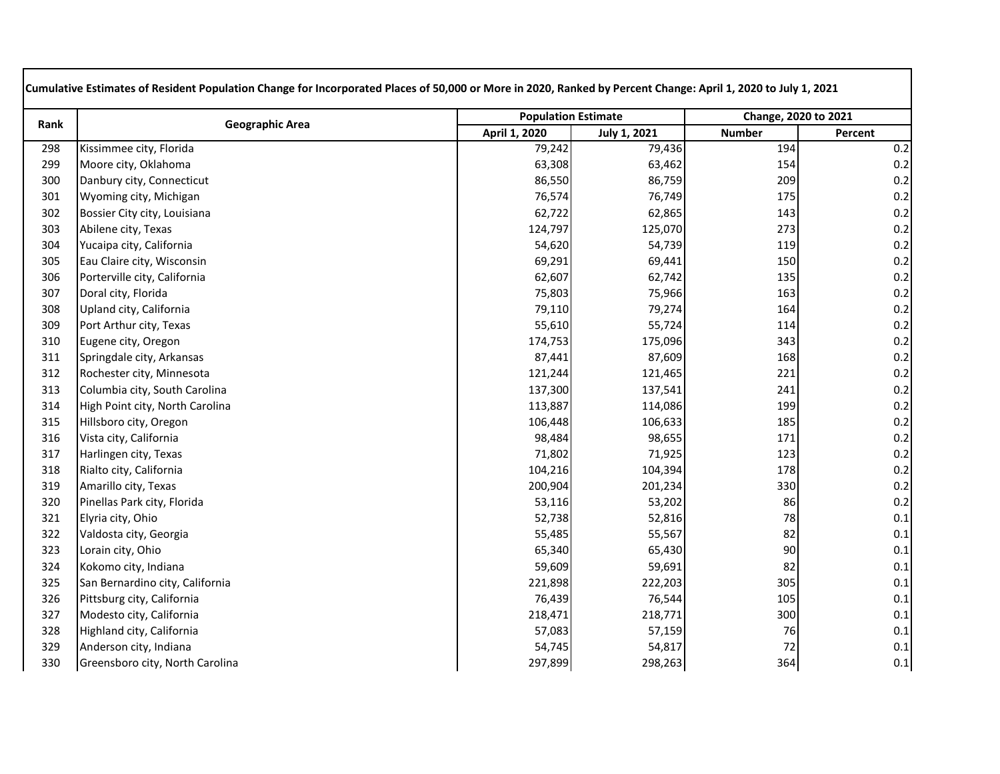| Rank |                                 | <b>Population Estimate</b> |              | Change, 2020 to 2021 |         |
|------|---------------------------------|----------------------------|--------------|----------------------|---------|
|      | <b>Geographic Area</b>          | April 1, 2020              | July 1, 2021 | <b>Number</b>        | Percent |
| 298  | Kissimmee city, Florida         | 79,242                     | 79,436       | 194                  | 0.2     |
| 299  | Moore city, Oklahoma            | 63,308                     | 63,462       | 154                  | 0.2     |
| 300  | Danbury city, Connecticut       | 86,550                     | 86,759       | 209                  | 0.2     |
| 301  | Wyoming city, Michigan          | 76,574                     | 76,749       | 175                  | 0.2     |
| 302  | Bossier City city, Louisiana    | 62,722                     | 62,865       | 143                  | 0.2     |
| 303  | Abilene city, Texas             | 124,797                    | 125,070      | 273                  | 0.2     |
| 304  | Yucaipa city, California        | 54,620                     | 54,739       | 119                  | $0.2\,$ |
| 305  | Eau Claire city, Wisconsin      | 69,291                     | 69,441       | 150                  | 0.2     |
| 306  | Porterville city, California    | 62,607                     | 62,742       | 135                  | 0.2     |
| 307  | Doral city, Florida             | 75,803                     | 75,966       | 163                  | 0.2     |
| 308  | Upland city, California         | 79,110                     | 79,274       | 164                  | 0.2     |
| 309  | Port Arthur city, Texas         | 55,610                     | 55,724       | 114                  | 0.2     |
| 310  | Eugene city, Oregon             | 174,753                    | 175,096      | 343                  | 0.2     |
| 311  | Springdale city, Arkansas       | 87,441                     | 87,609       | 168                  | 0.2     |
| 312  | Rochester city, Minnesota       | 121,244                    | 121,465      | 221                  | 0.2     |
| 313  | Columbia city, South Carolina   | 137,300                    | 137,541      | 241                  | 0.2     |
| 314  | High Point city, North Carolina | 113,887                    | 114,086      | 199                  | $0.2\,$ |
| 315  | Hillsboro city, Oregon          | 106,448                    | 106,633      | 185                  | 0.2     |
| 316  | Vista city, California          | 98,484                     | 98,655       | 171                  | 0.2     |
| 317  | Harlingen city, Texas           | 71,802                     | 71,925       | 123                  | 0.2     |
| 318  | Rialto city, California         | 104,216                    | 104,394      | 178                  | 0.2     |
| 319  | Amarillo city, Texas            | 200,904                    | 201,234      | 330                  | $0.2\,$ |
| 320  | Pinellas Park city, Florida     | 53,116                     | 53,202       | 86                   | 0.2     |
| 321  | Elyria city, Ohio               | 52,738                     | 52,816       | 78                   | 0.1     |
| 322  | Valdosta city, Georgia          | 55,485                     | 55,567       | 82                   | 0.1     |
| 323  | Lorain city, Ohio               | 65,340                     | 65,430       | 90                   | 0.1     |
| 324  | Kokomo city, Indiana            | 59,609                     | 59,691       | 82                   | 0.1     |
| 325  | San Bernardino city, California | 221,898                    | 222,203      | 305                  | 0.1     |
| 326  | Pittsburg city, California      | 76,439                     | 76,544       | 105                  | 0.1     |
| 327  | Modesto city, California        | 218,471                    | 218,771      | 300                  | 0.1     |
| 328  | Highland city, California       | 57,083                     | 57,159       | 76                   | 0.1     |
| 329  | Anderson city, Indiana          | 54,745                     | 54,817       | 72                   | 0.1     |
| 330  | Greensboro city, North Carolina | 297,899                    | 298,263      | 364                  | 0.1     |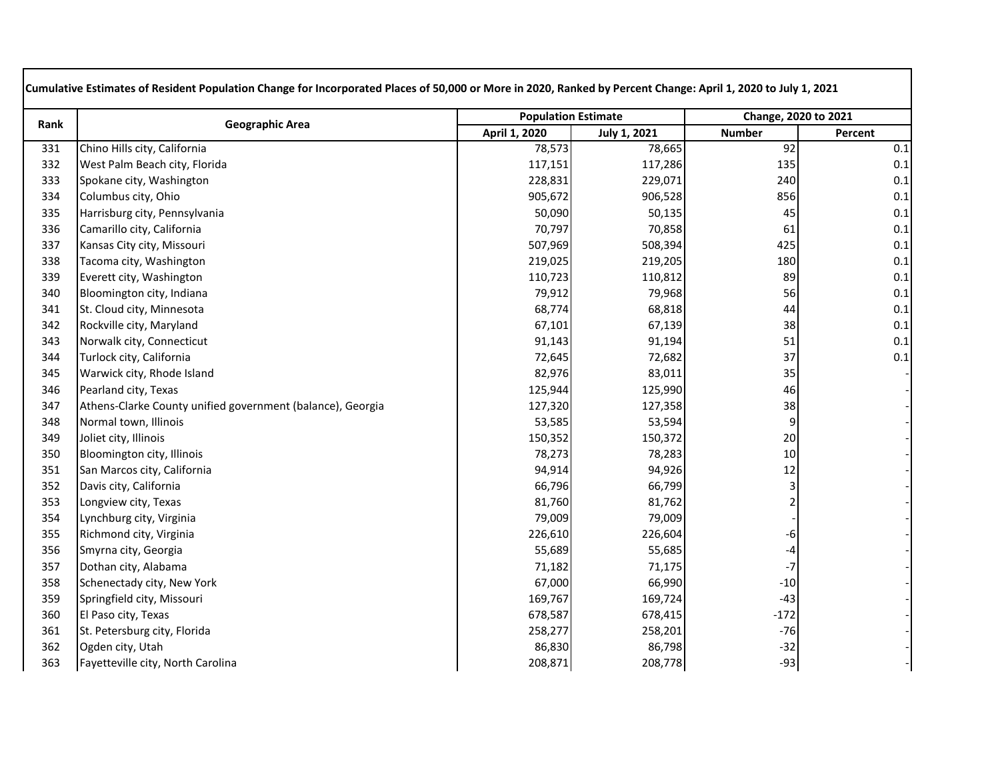| Rank |                                                            | <b>Population Estimate</b> |                     | Change, 2020 to 2021 |         |
|------|------------------------------------------------------------|----------------------------|---------------------|----------------------|---------|
|      | <b>Geographic Area</b>                                     | April 1, 2020              | <b>July 1, 2021</b> | <b>Number</b>        | Percent |
| 331  | Chino Hills city, California                               | 78,573                     | 78,665              | 92                   | 0.1     |
| 332  | West Palm Beach city, Florida                              | 117,151                    | 117,286             | 135                  | 0.1     |
| 333  | Spokane city, Washington                                   | 228,831                    | 229,071             | 240                  | 0.1     |
| 334  | Columbus city, Ohio                                        | 905,672                    | 906,528             | 856                  | 0.1     |
| 335  | Harrisburg city, Pennsylvania                              | 50,090                     | 50,135              | 45                   | 0.1     |
| 336  | Camarillo city, California                                 | 70,797                     | 70,858              | 61                   | 0.1     |
| 337  | Kansas City city, Missouri                                 | 507,969                    | 508,394             | 425                  | 0.1     |
| 338  | Tacoma city, Washington                                    | 219,025                    | 219,205             | 180                  | 0.1     |
| 339  | Everett city, Washington                                   | 110,723                    | 110,812             | 89                   | 0.1     |
| 340  | Bloomington city, Indiana                                  | 79,912                     | 79,968              | 56                   | 0.1     |
| 341  | St. Cloud city, Minnesota                                  | 68,774                     | 68,818              | 44                   | 0.1     |
| 342  | Rockville city, Maryland                                   | 67,101                     | 67,139              | 38                   | 0.1     |
| 343  | Norwalk city, Connecticut                                  | 91,143                     | 91,194              | 51                   | 0.1     |
| 344  | Turlock city, California                                   | 72,645                     | 72,682              | 37                   | 0.1     |
| 345  | Warwick city, Rhode Island                                 | 82,976                     | 83,011              | 35                   |         |
| 346  | Pearland city, Texas                                       | 125,944                    | 125,990             | 46                   |         |
| 347  | Athens-Clarke County unified government (balance), Georgia | 127,320                    | 127,358             | 38                   |         |
| 348  | Normal town, Illinois                                      | 53,585                     | 53,594              | 9                    |         |
| 349  | Joliet city, Illinois                                      | 150,352                    | 150,372             | 20                   |         |
| 350  | Bloomington city, Illinois                                 | 78,273                     | 78,283              | 10                   |         |
| 351  | San Marcos city, California                                | 94,914                     | 94,926              | 12                   |         |
| 352  | Davis city, California                                     | 66,796                     | 66,799              | $\mathbf{3}$         |         |
| 353  | Longview city, Texas                                       | 81,760                     | 81,762              | 2                    |         |
| 354  | Lynchburg city, Virginia                                   | 79,009                     | 79,009              |                      |         |
| 355  | Richmond city, Virginia                                    | 226,610                    | 226,604             | -6                   |         |
| 356  | Smyrna city, Georgia                                       | 55,689                     | 55,685              | -4                   |         |
| 357  | Dothan city, Alabama                                       | 71,182                     | 71,175              | $-7$                 |         |
| 358  | Schenectady city, New York                                 | 67,000                     | 66,990              | $-10$                |         |
| 359  | Springfield city, Missouri                                 | 169,767                    | 169,724             | $-43$                |         |
| 360  | El Paso city, Texas                                        | 678,587                    | 678,415             | $-172$               |         |
| 361  | St. Petersburg city, Florida                               | 258,277                    | 258,201             | $-76$                |         |
| 362  | Ogden city, Utah                                           | 86,830                     | 86,798              | $-32$                |         |
| 363  | Fayetteville city, North Carolina                          | 208,871                    | 208,778             | $-93$                |         |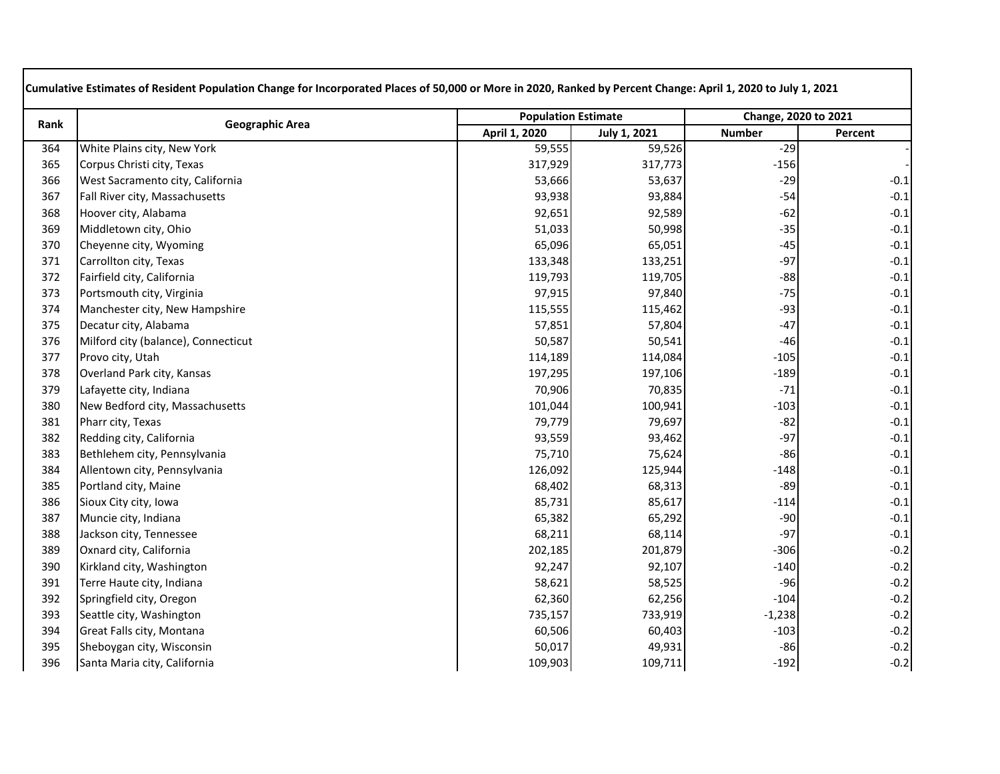| Rank | <b>Geographic Area</b>              | <b>Population Estimate</b> |              | Change, 2020 to 2021 |         |
|------|-------------------------------------|----------------------------|--------------|----------------------|---------|
|      |                                     | April 1, 2020              | July 1, 2021 | <b>Number</b>        | Percent |
| 364  | White Plains city, New York         | 59,555                     | 59,526       | $-29$                |         |
| 365  | Corpus Christi city, Texas          | 317,929                    | 317,773      | $-156$               |         |
| 366  | West Sacramento city, California    | 53,666                     | 53,637       | $-29$                | $-0.1$  |
| 367  | Fall River city, Massachusetts      | 93,938                     | 93,884       | $-54$                | $-0.1$  |
| 368  | Hoover city, Alabama                | 92,651                     | 92,589       | $-62$                | $-0.1$  |
| 369  | Middletown city, Ohio               | 51,033                     | 50,998       | $-35$                | $-0.1$  |
| 370  | Cheyenne city, Wyoming              | 65,096                     | 65,051       | $-45$                | $-0.1$  |
| 371  | Carrollton city, Texas              | 133,348                    | 133,251      | $-97$                | $-0.1$  |
| 372  | Fairfield city, California          | 119,793                    | 119,705      | $-88$                | $-0.1$  |
| 373  | Portsmouth city, Virginia           | 97,915                     | 97,840       | $-75$                | $-0.1$  |
| 374  | Manchester city, New Hampshire      | 115,555                    | 115,462      | $-93$                | $-0.1$  |
| 375  | Decatur city, Alabama               | 57,851                     | 57,804       | $-47$                | $-0.1$  |
| 376  | Milford city (balance), Connecticut | 50,587                     | 50,541       | $-46$                | $-0.1$  |
| 377  | Provo city, Utah                    | 114,189                    | 114,084      | $-105$               | $-0.1$  |
| 378  | Overland Park city, Kansas          | 197,295                    | 197,106      | $-189$               | $-0.1$  |
| 379  | Lafayette city, Indiana             | 70,906                     | 70,835       | $-71$                | $-0.1$  |
| 380  | New Bedford city, Massachusetts     | 101,044                    | 100,941      | $-103$               | $-0.1$  |
| 381  | Pharr city, Texas                   | 79,779                     | 79,697       | $-82$                | $-0.1$  |
| 382  | Redding city, California            | 93,559                     | 93,462       | $-97$                | $-0.1$  |
| 383  | Bethlehem city, Pennsylvania        | 75,710                     | 75,624       | $-86$                | $-0.1$  |
| 384  | Allentown city, Pennsylvania        | 126,092                    | 125,944      | $-148$               | $-0.1$  |
| 385  | Portland city, Maine                | 68,402                     | 68,313       | $-89$                | $-0.1$  |
| 386  | Sioux City city, Iowa               | 85,731                     | 85,617       | $-114$               | $-0.1$  |
| 387  | Muncie city, Indiana                | 65,382                     | 65,292       | $-90$                | $-0.1$  |
| 388  | Jackson city, Tennessee             | 68,211                     | 68,114       | $-97$                | $-0.1$  |
| 389  | Oxnard city, California             | 202,185                    | 201,879      | $-306$               | $-0.2$  |
| 390  | Kirkland city, Washington           | 92,247                     | 92,107       | $-140$               | $-0.2$  |
| 391  | Terre Haute city, Indiana           | 58,621                     | 58,525       | $-96$                | $-0.2$  |
| 392  | Springfield city, Oregon            | 62,360                     | 62,256       | $-104$               | $-0.2$  |
| 393  | Seattle city, Washington            | 735,157                    | 733,919      | $-1,238$             | $-0.2$  |
| 394  | Great Falls city, Montana           | 60,506                     | 60,403       | $-103$               | $-0.2$  |
| 395  | Sheboygan city, Wisconsin           | 50,017                     | 49,931       | $-86$                | $-0.2$  |
| 396  | Santa Maria city, California        | 109,903                    | 109,711      | $-192$               | $-0.2$  |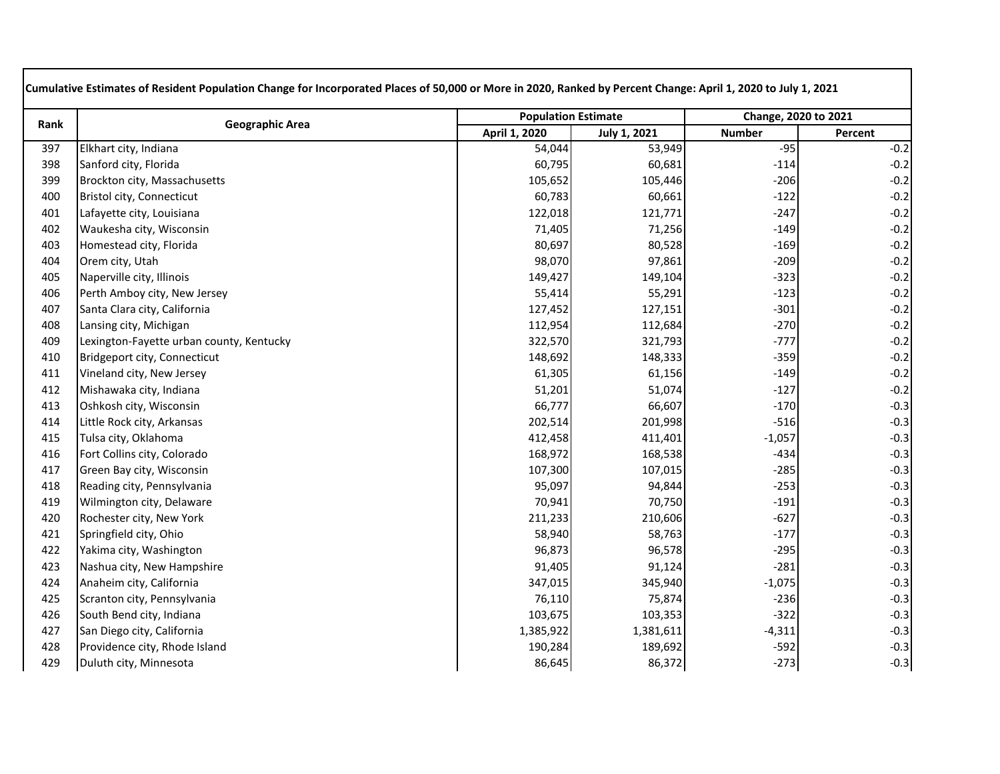| Rank |                                          | <b>Population Estimate</b> |              | Change, 2020 to 2021 |         |
|------|------------------------------------------|----------------------------|--------------|----------------------|---------|
|      | <b>Geographic Area</b>                   | April 1, 2020              | July 1, 2021 | <b>Number</b>        | Percent |
| 397  | Elkhart city, Indiana                    | 54,044                     | 53,949       | $-95$                | $-0.2$  |
| 398  | Sanford city, Florida                    | 60,795                     | 60,681       | $-114$               | $-0.2$  |
| 399  | Brockton city, Massachusetts             | 105,652                    | 105,446      | $-206$               | $-0.2$  |
| 400  | Bristol city, Connecticut                | 60,783                     | 60,661       | $-122$               | $-0.2$  |
| 401  | Lafayette city, Louisiana                | 122,018                    | 121,771      | $-247$               | $-0.2$  |
| 402  | Waukesha city, Wisconsin                 | 71,405                     | 71,256       | $-149$               | $-0.2$  |
| 403  | Homestead city, Florida                  | 80,697                     | 80,528       | $-169$               | $-0.2$  |
| 404  | Orem city, Utah                          | 98,070                     | 97,861       | $-209$               | $-0.2$  |
| 405  | Naperville city, Illinois                | 149,427                    | 149,104      | $-323$               | $-0.2$  |
| 406  | Perth Amboy city, New Jersey             | 55,414                     | 55,291       | $-123$               | $-0.2$  |
| 407  | Santa Clara city, California             | 127,452                    | 127,151      | $-301$               | $-0.2$  |
| 408  | Lansing city, Michigan                   | 112,954                    | 112,684      | $-270$               | $-0.2$  |
| 409  | Lexington-Fayette urban county, Kentucky | 322,570                    | 321,793      | $-777$               | $-0.2$  |
| 410  | Bridgeport city, Connecticut             | 148,692                    | 148,333      | $-359$               | $-0.2$  |
| 411  | Vineland city, New Jersey                | 61,305                     | 61,156       | $-149$               | $-0.2$  |
| 412  | Mishawaka city, Indiana                  | 51,201                     | 51,074       | $-127$               | $-0.2$  |
| 413  | Oshkosh city, Wisconsin                  | 66,777                     | 66,607       | $-170$               | $-0.3$  |
| 414  | Little Rock city, Arkansas               | 202,514                    | 201,998      | $-516$               | $-0.3$  |
| 415  | Tulsa city, Oklahoma                     | 412,458                    | 411,401      | $-1,057$             | $-0.3$  |
| 416  | Fort Collins city, Colorado              | 168,972                    | 168,538      | $-434$               | $-0.3$  |
| 417  | Green Bay city, Wisconsin                | 107,300                    | 107,015      | $-285$               | $-0.3$  |
| 418  | Reading city, Pennsylvania               | 95,097                     | 94,844       | $-253$               | $-0.3$  |
| 419  | Wilmington city, Delaware                | 70,941                     | 70,750       | $-191$               | $-0.3$  |
| 420  | Rochester city, New York                 | 211,233                    | 210,606      | $-627$               | $-0.3$  |
| 421  | Springfield city, Ohio                   | 58,940                     | 58,763       | $-177$               | $-0.3$  |
| 422  | Yakima city, Washington                  | 96,873                     | 96,578       | $-295$               | $-0.3$  |
| 423  | Nashua city, New Hampshire               | 91,405                     | 91,124       | $-281$               | $-0.3$  |
| 424  | Anaheim city, California                 | 347,015                    | 345,940      | $-1,075$             | $-0.3$  |
| 425  | Scranton city, Pennsylvania              | 76,110                     | 75,874       | $-236$               | $-0.3$  |
| 426  | South Bend city, Indiana                 | 103,675                    | 103,353      | $-322$               | $-0.3$  |
| 427  | San Diego city, California               | 1,385,922                  | 1,381,611    | $-4,311$             | $-0.3$  |
| 428  | Providence city, Rhode Island            | 190,284                    | 189,692      | $-592$               | $-0.3$  |
| 429  | Duluth city, Minnesota                   | 86,645                     | 86,372       | $-273$               | $-0.3$  |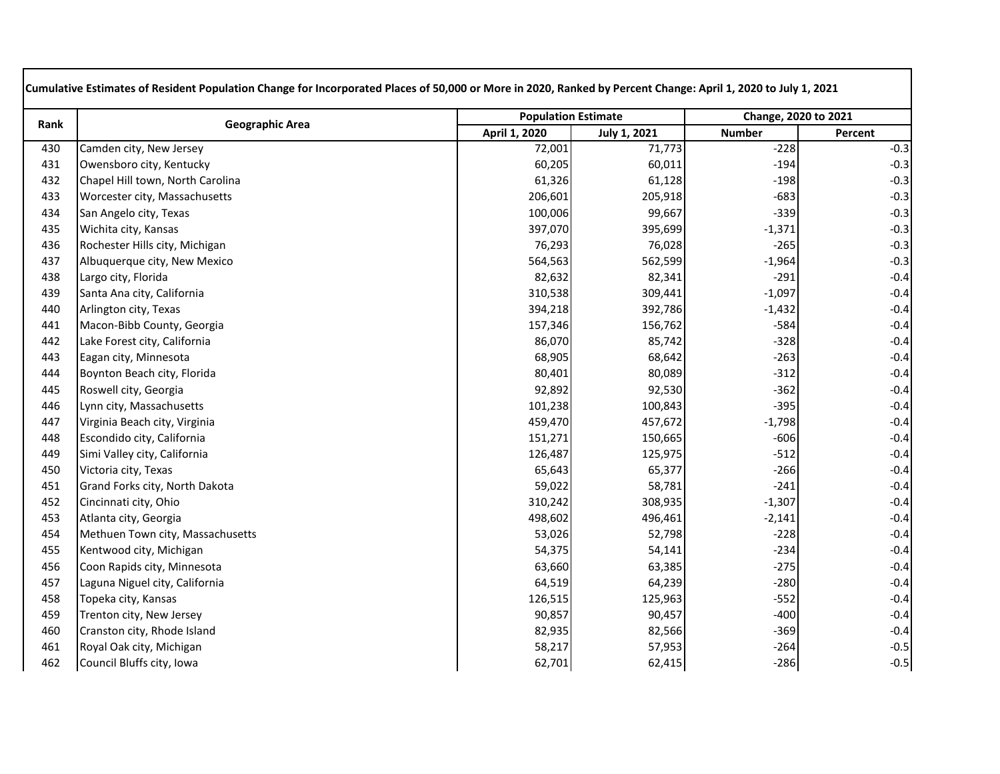| Rank | <b>Geographic Area</b>           | <b>Population Estimate</b> |                     | Change, 2020 to 2021 |         |
|------|----------------------------------|----------------------------|---------------------|----------------------|---------|
|      |                                  | April 1, 2020              | <b>July 1, 2021</b> | <b>Number</b>        | Percent |
| 430  | Camden city, New Jersey          | 72,001                     | 71,773              | $-228$               | $-0.3$  |
| 431  | Owensboro city, Kentucky         | 60,205                     | 60,011              | $-194$               | $-0.3$  |
| 432  | Chapel Hill town, North Carolina | 61,326                     | 61,128              | $-198$               | $-0.3$  |
| 433  | Worcester city, Massachusetts    | 206,601                    | 205,918             | $-683$               | $-0.3$  |
| 434  | San Angelo city, Texas           | 100,006                    | 99,667              | $-339$               | $-0.3$  |
| 435  | Wichita city, Kansas             | 397,070                    | 395,699             | $-1,371$             | $-0.3$  |
| 436  | Rochester Hills city, Michigan   | 76,293                     | 76,028              | $-265$               | $-0.3$  |
| 437  | Albuquerque city, New Mexico     | 564,563                    | 562,599             | $-1,964$             | $-0.3$  |
| 438  | Largo city, Florida              | 82,632                     | 82,341              | $-291$               | $-0.4$  |
| 439  | Santa Ana city, California       | 310,538                    | 309,441             | $-1,097$             | $-0.4$  |
| 440  | Arlington city, Texas            | 394,218                    | 392,786             | $-1,432$             | $-0.4$  |
| 441  | Macon-Bibb County, Georgia       | 157,346                    | 156,762             | $-584$               | $-0.4$  |
| 442  | Lake Forest city, California     | 86,070                     | 85,742              | $-328$               | $-0.4$  |
| 443  | Eagan city, Minnesota            | 68,905                     | 68,642              | $-263$               | $-0.4$  |
| 444  | Boynton Beach city, Florida      | 80,401                     | 80,089              | $-312$               | $-0.4$  |
| 445  | Roswell city, Georgia            | 92,892                     | 92,530              | $-362$               | $-0.4$  |
| 446  | Lynn city, Massachusetts         | 101,238                    | 100,843             | $-395$               | $-0.4$  |
| 447  | Virginia Beach city, Virginia    | 459,470                    | 457,672             | $-1,798$             | $-0.4$  |
| 448  | Escondido city, California       | 151,271                    | 150,665             | $-606$               | $-0.4$  |
| 449  | Simi Valley city, California     | 126,487                    | 125,975             | $-512$               | $-0.4$  |
| 450  | Victoria city, Texas             | 65,643                     | 65,377              | $-266$               | $-0.4$  |
| 451  | Grand Forks city, North Dakota   | 59,022                     | 58,781              | $-241$               | $-0.4$  |
| 452  | Cincinnati city, Ohio            | 310,242                    | 308,935             | $-1,307$             | $-0.4$  |
| 453  | Atlanta city, Georgia            | 498,602                    | 496,461             | $-2,141$             | $-0.4$  |
| 454  | Methuen Town city, Massachusetts | 53,026                     | 52,798              | $-228$               | $-0.4$  |
| 455  | Kentwood city, Michigan          | 54,375                     | 54,141              | $-234$               | $-0.4$  |
| 456  | Coon Rapids city, Minnesota      | 63,660                     | 63,385              | $-275$               | $-0.4$  |
| 457  | Laguna Niguel city, California   | 64,519                     | 64,239              | $-280$               | $-0.4$  |
| 458  | Topeka city, Kansas              | 126,515                    | 125,963             | $-552$               | $-0.4$  |
| 459  | Trenton city, New Jersey         | 90,857                     | 90,457              | $-400$               | $-0.4$  |
| 460  | Cranston city, Rhode Island      | 82,935                     | 82,566              | $-369$               | $-0.4$  |
| 461  | Royal Oak city, Michigan         | 58,217                     | 57,953              | $-264$               | $-0.5$  |
| 462  | Council Bluffs city, Iowa        | 62,701                     | 62,415              | $-286$               | $-0.5$  |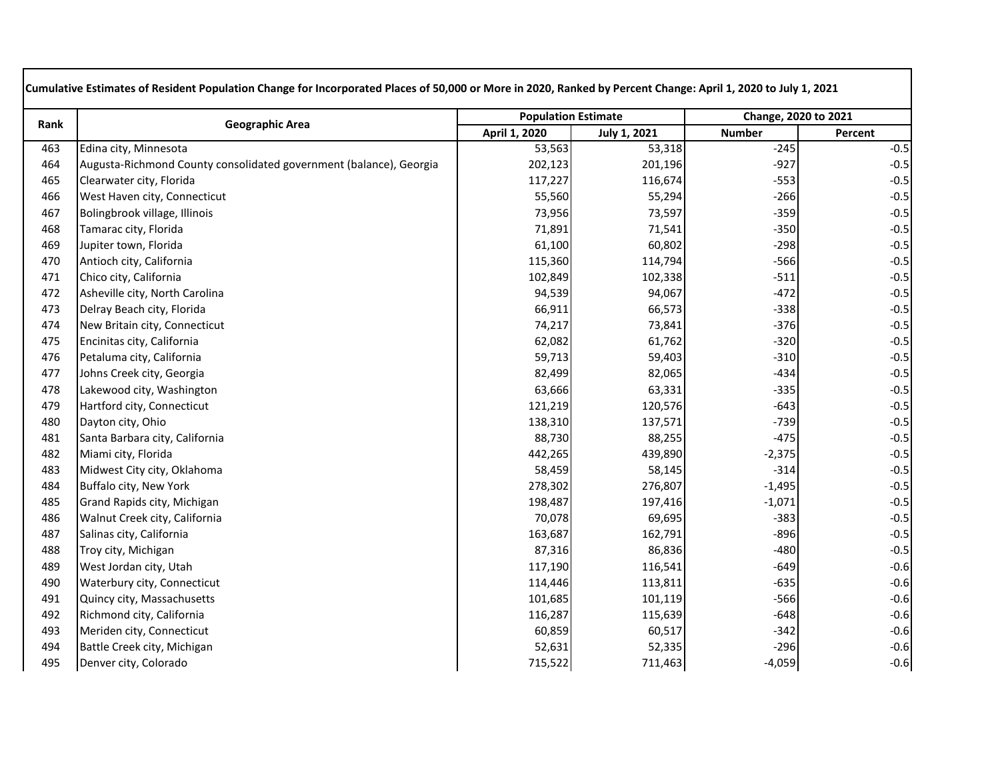|      |                                                                    | <b>Population Estimate</b> |              | Change, 2020 to 2021 |         |
|------|--------------------------------------------------------------------|----------------------------|--------------|----------------------|---------|
| Rank | <b>Geographic Area</b>                                             | April 1, 2020              | July 1, 2021 | <b>Number</b>        | Percent |
| 463  | Edina city, Minnesota                                              | 53,563                     | 53,318       | $-245$               | $-0.5$  |
| 464  | Augusta-Richmond County consolidated government (balance), Georgia | 202,123                    | 201,196      | $-927$               | $-0.5$  |
| 465  | Clearwater city, Florida                                           | 117,227                    | 116,674      | $-553$               | $-0.5$  |
| 466  | West Haven city, Connecticut                                       | 55,560                     | 55,294       | $-266$               | $-0.5$  |
| 467  | Bolingbrook village, Illinois                                      | 73,956                     | 73,597       | $-359$               | $-0.5$  |
| 468  | Tamarac city, Florida                                              | 71,891                     | 71,541       | $-350$               | $-0.5$  |
| 469  | Jupiter town, Florida                                              | 61,100                     | 60,802       | $-298$               | $-0.5$  |
| 470  | Antioch city, California                                           | 115,360                    | 114,794      | $-566$               | $-0.5$  |
| 471  | Chico city, California                                             | 102,849                    | 102,338      | $-511$               | $-0.5$  |
| 472  | Asheville city, North Carolina                                     | 94,539                     | 94,067       | $-472$               | $-0.5$  |
| 473  | Delray Beach city, Florida                                         | 66,911                     | 66,573       | $-338$               | $-0.5$  |
| 474  | New Britain city, Connecticut                                      | 74,217                     | 73,841       | $-376$               | $-0.5$  |
| 475  | Encinitas city, California                                         | 62,082                     | 61,762       | $-320$               | $-0.5$  |
| 476  | Petaluma city, California                                          | 59,713                     | 59,403       | $-310$               | $-0.5$  |
| 477  | Johns Creek city, Georgia                                          | 82,499                     | 82,065       | $-434$               | $-0.5$  |
| 478  | Lakewood city, Washington                                          | 63,666                     | 63,331       | $-335$               | $-0.5$  |
| 479  | Hartford city, Connecticut                                         | 121,219                    | 120,576      | $-643$               | $-0.5$  |
| 480  | Dayton city, Ohio                                                  | 138,310                    | 137,571      | $-739$               | $-0.5$  |
| 481  | Santa Barbara city, California                                     | 88,730                     | 88,255       | $-475$               | $-0.5$  |
| 482  | Miami city, Florida                                                | 442,265                    | 439,890      | $-2,375$             | $-0.5$  |
| 483  | Midwest City city, Oklahoma                                        | 58,459                     | 58,145       | $-314$               | $-0.5$  |
| 484  | Buffalo city, New York                                             | 278,302                    | 276,807      | $-1,495$             | $-0.5$  |
| 485  | Grand Rapids city, Michigan                                        | 198,487                    | 197,416      | $-1,071$             | $-0.5$  |
| 486  | Walnut Creek city, California                                      | 70,078                     | 69,695       | $-383$               | $-0.5$  |
| 487  | Salinas city, California                                           | 163,687                    | 162,791      | $-896$               | $-0.5$  |
| 488  | Troy city, Michigan                                                | 87,316                     | 86,836       | $-480$               | $-0.5$  |
| 489  | West Jordan city, Utah                                             | 117,190                    | 116,541      | $-649$               | $-0.6$  |
| 490  | Waterbury city, Connecticut                                        | 114,446                    | 113,811      | $-635$               | $-0.6$  |
| 491  | Quincy city, Massachusetts                                         | 101,685                    | 101,119      | $-566$               | $-0.6$  |
| 492  | Richmond city, California                                          | 116,287                    | 115,639      | $-648$               | $-0.6$  |
| 493  | Meriden city, Connecticut                                          | 60,859                     | 60,517       | $-342$               | $-0.6$  |
| 494  | Battle Creek city, Michigan                                        | 52,631                     | 52,335       | $-296$               | $-0.6$  |
| 495  | Denver city, Colorado                                              | 715,522                    | 711,463      | $-4,059$             | $-0.6$  |
|      |                                                                    |                            |              |                      |         |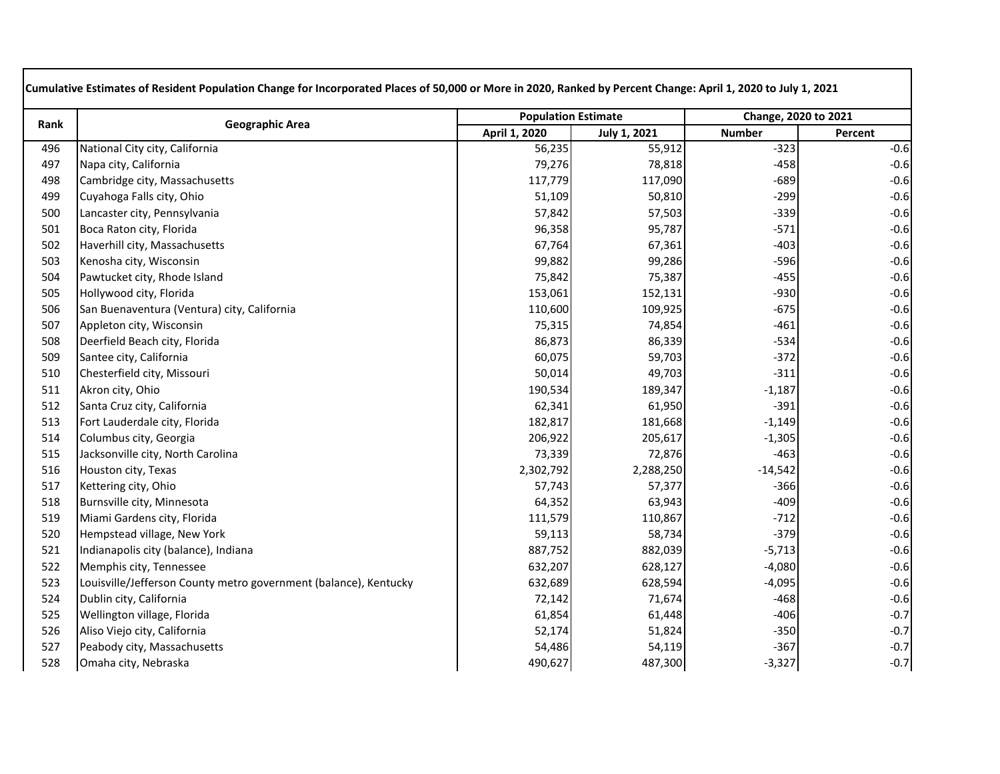| Rank | <b>Geographic Area</b>                                           | <b>Population Estimate</b> |                     | Change, 2020 to 2021 |         |
|------|------------------------------------------------------------------|----------------------------|---------------------|----------------------|---------|
|      |                                                                  | April 1, 2020              | <b>July 1, 2021</b> | <b>Number</b>        | Percent |
| 496  | National City city, California                                   | 56,235                     | 55,912              | $-323$               | $-0.6$  |
| 497  | Napa city, California                                            | 79,276                     | 78,818              | $-458$               | $-0.6$  |
| 498  | Cambridge city, Massachusetts                                    | 117,779                    | 117,090             | $-689$               | $-0.6$  |
| 499  | Cuyahoga Falls city, Ohio                                        | 51,109                     | 50,810              | $-299$               | $-0.6$  |
| 500  | Lancaster city, Pennsylvania                                     | 57,842                     | 57,503              | $-339$               | $-0.6$  |
| 501  | Boca Raton city, Florida                                         | 96,358                     | 95,787              | $-571$               | $-0.6$  |
| 502  | Haverhill city, Massachusetts                                    | 67,764                     | 67,361              | $-403$               | $-0.6$  |
| 503  | Kenosha city, Wisconsin                                          | 99,882                     | 99,286              | $-596$               | $-0.6$  |
| 504  | Pawtucket city, Rhode Island                                     | 75,842                     | 75,387              | $-455$               | $-0.6$  |
| 505  | Hollywood city, Florida                                          | 153,061                    | 152,131             | $-930$               | $-0.6$  |
| 506  | San Buenaventura (Ventura) city, California                      | 110,600                    | 109,925             | $-675$               | $-0.6$  |
| 507  | Appleton city, Wisconsin                                         | 75,315                     | 74,854              | $-461$               | $-0.6$  |
| 508  | Deerfield Beach city, Florida                                    | 86,873                     | 86,339              | $-534$               | $-0.6$  |
| 509  | Santee city, California                                          | 60,075                     | 59,703              | $-372$               | $-0.6$  |
| 510  | Chesterfield city, Missouri                                      | 50,014                     | 49,703              | $-311$               | $-0.6$  |
| 511  | Akron city, Ohio                                                 | 190,534                    | 189,347             | $-1,187$             | $-0.6$  |
| 512  | Santa Cruz city, California                                      | 62,341                     | 61,950              | $-391$               | $-0.6$  |
| 513  | Fort Lauderdale city, Florida                                    | 182,817                    | 181,668             | $-1,149$             | $-0.6$  |
| 514  | Columbus city, Georgia                                           | 206,922                    | 205,617             | $-1,305$             | $-0.6$  |
| 515  | Jacksonville city, North Carolina                                | 73,339                     | 72,876              | $-463$               | $-0.6$  |
| 516  | Houston city, Texas                                              | 2,302,792                  | 2,288,250           | $-14,542$            | $-0.6$  |
| 517  | Kettering city, Ohio                                             | 57,743                     | 57,377              | $-366$               | $-0.6$  |
| 518  | Burnsville city, Minnesota                                       | 64,352                     | 63,943              | $-409$               | $-0.6$  |
| 519  | Miami Gardens city, Florida                                      | 111,579                    | 110,867             | $-712$               | $-0.6$  |
| 520  | Hempstead village, New York                                      | 59,113                     | 58,734              | $-379$               | $-0.6$  |
| 521  | Indianapolis city (balance), Indiana                             | 887,752                    | 882,039             | $-5,713$             | $-0.6$  |
| 522  | Memphis city, Tennessee                                          | 632,207                    | 628,127             | $-4,080$             | $-0.6$  |
| 523  | Louisville/Jefferson County metro government (balance), Kentucky | 632,689                    | 628,594             | $-4,095$             | $-0.6$  |
| 524  | Dublin city, California                                          | 72,142                     | 71,674              | $-468$               | $-0.6$  |
| 525  | Wellington village, Florida                                      | 61,854                     | 61,448              | $-406$               | $-0.7$  |
| 526  | Aliso Viejo city, California                                     | 52,174                     | 51,824              | $-350$               | $-0.7$  |
| 527  | Peabody city, Massachusetts                                      | 54,486                     | 54,119              | $-367$               | $-0.7$  |
| 528  | Omaha city, Nebraska                                             | 490,627                    | 487,300             | $-3,327$             | $-0.7$  |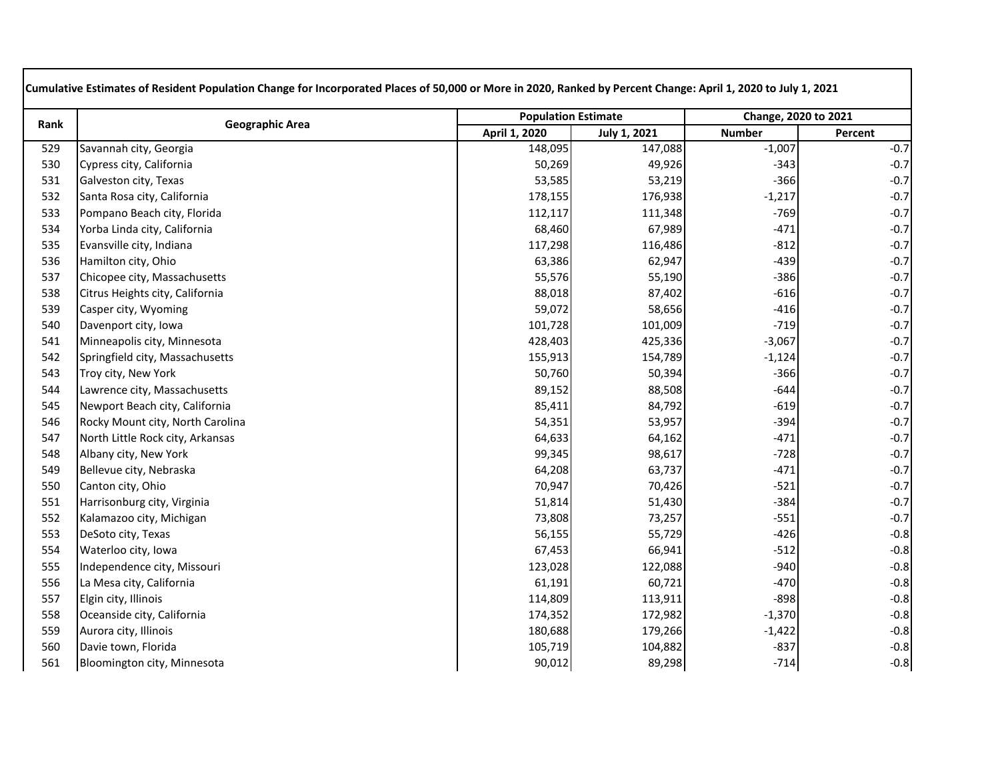| Rank |                                  | <b>Population Estimate</b> |              | Change, 2020 to 2021 |         |
|------|----------------------------------|----------------------------|--------------|----------------------|---------|
|      | <b>Geographic Area</b>           | April 1, 2020              | July 1, 2021 | <b>Number</b>        | Percent |
| 529  | Savannah city, Georgia           | 148,095                    | 147,088      | $-1,007$             | $-0.7$  |
| 530  | Cypress city, California         | 50,269                     | 49,926       | $-343$               | $-0.7$  |
| 531  | Galveston city, Texas            | 53,585                     | 53,219       | $-366$               | $-0.7$  |
| 532  | Santa Rosa city, California      | 178,155                    | 176,938      | $-1,217$             | $-0.7$  |
| 533  | Pompano Beach city, Florida      | 112,117                    | 111,348      | $-769$               | $-0.7$  |
| 534  | Yorba Linda city, California     | 68,460                     | 67,989       | $-471$               | $-0.7$  |
| 535  | Evansville city, Indiana         | 117,298                    | 116,486      | $-812$               | $-0.7$  |
| 536  | Hamilton city, Ohio              | 63,386                     | 62,947       | $-439$               | $-0.7$  |
| 537  | Chicopee city, Massachusetts     | 55,576                     | 55,190       | $-386$               | $-0.7$  |
| 538  | Citrus Heights city, California  | 88,018                     | 87,402       | $-616$               | $-0.7$  |
| 539  | Casper city, Wyoming             | 59,072                     | 58,656       | $-416$               | $-0.7$  |
| 540  | Davenport city, Iowa             | 101,728                    | 101,009      | $-719$               | $-0.7$  |
| 541  | Minneapolis city, Minnesota      | 428,403                    | 425,336      | $-3,067$             | $-0.7$  |
| 542  | Springfield city, Massachusetts  | 155,913                    | 154,789      | $-1,124$             | $-0.7$  |
| 543  | Troy city, New York              | 50,760                     | 50,394       | $-366$               | $-0.7$  |
| 544  | Lawrence city, Massachusetts     | 89,152                     | 88,508       | $-644$               | $-0.7$  |
| 545  | Newport Beach city, California   | 85,411                     | 84,792       | $-619$               | $-0.7$  |
| 546  | Rocky Mount city, North Carolina | 54,351                     | 53,957       | $-394$               | $-0.7$  |
| 547  | North Little Rock city, Arkansas | 64,633                     | 64,162       | $-471$               | $-0.7$  |
| 548  | Albany city, New York            | 99,345                     | 98,617       | $-728$               | $-0.7$  |
| 549  | Bellevue city, Nebraska          | 64,208                     | 63,737       | $-471$               | $-0.7$  |
| 550  | Canton city, Ohio                | 70,947                     | 70,426       | $-521$               | $-0.7$  |
| 551  | Harrisonburg city, Virginia      | 51,814                     | 51,430       | $-384$               | $-0.7$  |
| 552  | Kalamazoo city, Michigan         | 73,808                     | 73,257       | $-551$               | $-0.7$  |
| 553  | DeSoto city, Texas               | 56,155                     | 55,729       | $-426$               | $-0.8$  |
| 554  | Waterloo city, Iowa              | 67,453                     | 66,941       | $-512$               | $-0.8$  |
| 555  | Independence city, Missouri      | 123,028                    | 122,088      | $-940$               | $-0.8$  |
| 556  | La Mesa city, California         | 61,191                     | 60,721       | $-470$               | $-0.8$  |
| 557  | Elgin city, Illinois             | 114,809                    | 113,911      | $-898$               | $-0.8$  |
| 558  | Oceanside city, California       | 174,352                    | 172,982      | $-1,370$             | $-0.8$  |
| 559  | Aurora city, Illinois            | 180,688                    | 179,266      | $-1,422$             | $-0.8$  |
| 560  | Davie town, Florida              | 105,719                    | 104,882      | $-837$               | $-0.8$  |
| 561  | Bloomington city, Minnesota      | 90,012                     | 89,298       | $-714$               | $-0.8$  |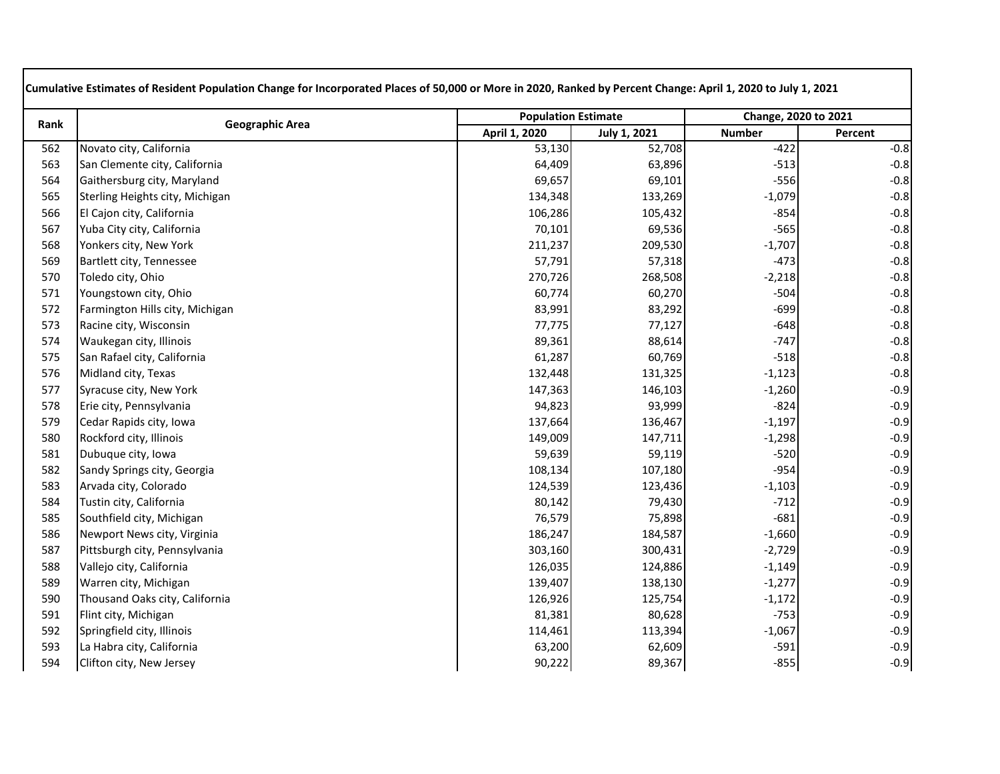| Rank | <b>Geographic Area</b>          | <b>Population Estimate</b> |                     | Change, 2020 to 2021 |         |
|------|---------------------------------|----------------------------|---------------------|----------------------|---------|
|      |                                 | April 1, 2020              | <b>July 1, 2021</b> | <b>Number</b>        | Percent |
| 562  | Novato city, California         | 53,130                     | 52,708              | $-422$               | $-0.8$  |
| 563  | San Clemente city, California   | 64,409                     | 63,896              | $-513$               | $-0.8$  |
| 564  | Gaithersburg city, Maryland     | 69,657                     | 69,101              | $-556$               | $-0.8$  |
| 565  | Sterling Heights city, Michigan | 134,348                    | 133,269             | $-1,079$             | $-0.8$  |
| 566  | El Cajon city, California       | 106,286                    | 105,432             | $-854$               | $-0.8$  |
| 567  | Yuba City city, California      | 70,101                     | 69,536              | $-565$               | $-0.8$  |
| 568  | Yonkers city, New York          | 211,237                    | 209,530             | $-1,707$             | $-0.8$  |
| 569  | Bartlett city, Tennessee        | 57,791                     | 57,318              | $-473$               | $-0.8$  |
| 570  | Toledo city, Ohio               | 270,726                    | 268,508             | $-2,218$             | $-0.8$  |
| 571  | Youngstown city, Ohio           | 60,774                     | 60,270              | $-504$               | $-0.8$  |
| 572  | Farmington Hills city, Michigan | 83,991                     | 83,292              | $-699$               | $-0.8$  |
| 573  | Racine city, Wisconsin          | 77,775                     | 77,127              | $-648$               | $-0.8$  |
| 574  | Waukegan city, Illinois         | 89,361                     | 88,614              | $-747$               | $-0.8$  |
| 575  | San Rafael city, California     | 61,287                     | 60,769              | $-518$               | $-0.8$  |
| 576  | Midland city, Texas             | 132,448                    | 131,325             | $-1,123$             | $-0.8$  |
| 577  | Syracuse city, New York         | 147,363                    | 146,103             | $-1,260$             | $-0.9$  |
| 578  | Erie city, Pennsylvania         | 94,823                     | 93,999              | $-824$               | $-0.9$  |
| 579  | Cedar Rapids city, Iowa         | 137,664                    | 136,467             | $-1,197$             | $-0.9$  |
| 580  | Rockford city, Illinois         | 149,009                    | 147,711             | $-1,298$             | $-0.9$  |
| 581  | Dubuque city, Iowa              | 59,639                     | 59,119              | $-520$               | $-0.9$  |
| 582  | Sandy Springs city, Georgia     | 108,134                    | 107,180             | $-954$               | $-0.9$  |
| 583  | Arvada city, Colorado           | 124,539                    | 123,436             | $-1,103$             | $-0.9$  |
| 584  | Tustin city, California         | 80,142                     | 79,430              | $-712$               | $-0.9$  |
| 585  | Southfield city, Michigan       | 76,579                     | 75,898              | $-681$               | $-0.9$  |
| 586  | Newport News city, Virginia     | 186,247                    | 184,587             | $-1,660$             | $-0.9$  |
| 587  | Pittsburgh city, Pennsylvania   | 303,160                    | 300,431             | $-2,729$             | $-0.9$  |
| 588  | Vallejo city, California        | 126,035                    | 124,886             | $-1,149$             | $-0.9$  |
| 589  | Warren city, Michigan           | 139,407                    | 138,130             | $-1,277$             | $-0.9$  |
| 590  | Thousand Oaks city, California  | 126,926                    | 125,754             | $-1,172$             | $-0.9$  |
| 591  | Flint city, Michigan            | 81,381                     | 80,628              | $-753$               | $-0.9$  |
| 592  | Springfield city, Illinois      | 114,461                    | 113,394             | $-1,067$             | $-0.9$  |
| 593  | La Habra city, California       | 63,200                     | 62,609              | $-591$               | $-0.9$  |
| 594  | Clifton city, New Jersey        | 90,222                     | 89,367              | $-855$               | $-0.9$  |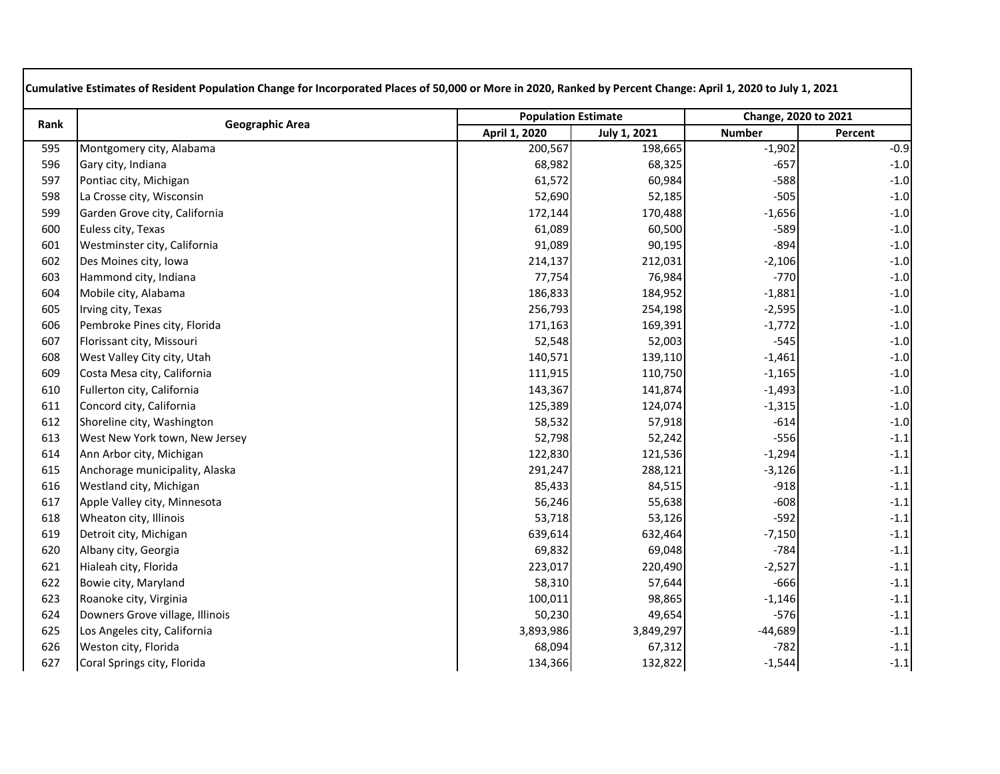| Rank |                                 | <b>Population Estimate</b> |              | Change, 2020 to 2021 |         |
|------|---------------------------------|----------------------------|--------------|----------------------|---------|
|      | <b>Geographic Area</b>          | April 1, 2020              | July 1, 2021 | <b>Number</b>        | Percent |
| 595  | Montgomery city, Alabama        | 200,567                    | 198,665      | $-1,902$             | $-0.9$  |
| 596  | Gary city, Indiana              | 68,982                     | 68,325       | $-657$               | $-1.0$  |
| 597  | Pontiac city, Michigan          | 61,572                     | 60,984       | $-588$               | $-1.0$  |
| 598  | La Crosse city, Wisconsin       | 52,690                     | 52,185       | $-505$               | $-1.0$  |
| 599  | Garden Grove city, California   | 172,144                    | 170,488      | $-1,656$             | $-1.0$  |
| 600  | Euless city, Texas              | 61,089                     | 60,500       | $-589$               | $-1.0$  |
| 601  | Westminster city, California    | 91,089                     | 90,195       | $-894$               | $-1.0$  |
| 602  | Des Moines city, Iowa           | 214,137                    | 212,031      | $-2,106$             | $-1.0$  |
| 603  | Hammond city, Indiana           | 77,754                     | 76,984       | $-770$               | $-1.0$  |
| 604  | Mobile city, Alabama            | 186,833                    | 184,952      | $-1,881$             | $-1.0$  |
| 605  | Irving city, Texas              | 256,793                    | 254,198      | $-2,595$             | $-1.0$  |
| 606  | Pembroke Pines city, Florida    | 171,163                    | 169,391      | $-1,772$             | $-1.0$  |
| 607  | Florissant city, Missouri       | 52,548                     | 52,003       | $-545$               | $-1.0$  |
| 608  | West Valley City city, Utah     | 140,571                    | 139,110      | $-1,461$             | $-1.0$  |
| 609  | Costa Mesa city, California     | 111,915                    | 110,750      | $-1,165$             | $-1.0$  |
| 610  | Fullerton city, California      | 143,367                    | 141,874      | $-1,493$             | $-1.0$  |
| 611  | Concord city, California        | 125,389                    | 124,074      | $-1,315$             | $-1.0$  |
| 612  | Shoreline city, Washington      | 58,532                     | 57,918       | $-614$               | $-1.0$  |
| 613  | West New York town, New Jersey  | 52,798                     | 52,242       | $-556$               | $-1.1$  |
| 614  | Ann Arbor city, Michigan        | 122,830                    | 121,536      | $-1,294$             | $-1.1$  |
| 615  | Anchorage municipality, Alaska  | 291,247                    | 288,121      | $-3,126$             | $-1.1$  |
| 616  | Westland city, Michigan         | 85,433                     | 84,515       | $-918$               | $-1.1$  |
| 617  | Apple Valley city, Minnesota    | 56,246                     | 55,638       | $-608$               | $-1.1$  |
| 618  | Wheaton city, Illinois          | 53,718                     | 53,126       | $-592$               | $-1.1$  |
| 619  | Detroit city, Michigan          | 639,614                    | 632,464      | $-7,150$             | $-1.1$  |
| 620  | Albany city, Georgia            | 69,832                     | 69,048       | $-784$               | $-1.1$  |
| 621  | Hialeah city, Florida           | 223,017                    | 220,490      | $-2,527$             | $-1.1$  |
| 622  | Bowie city, Maryland            | 58,310                     | 57,644       | $-666$               | $-1.1$  |
| 623  | Roanoke city, Virginia          | 100,011                    | 98,865       | $-1,146$             | $-1.1$  |
| 624  | Downers Grove village, Illinois | 50,230                     | 49,654       | $-576$               | $-1.1$  |
| 625  | Los Angeles city, California    | 3,893,986                  | 3,849,297    | $-44,689$            | $-1.1$  |
| 626  | Weston city, Florida            | 68,094                     | 67,312       | $-782$               | $-1.1$  |
| 627  | Coral Springs city, Florida     | 134,366                    | 132,822      | $-1,544$             | $-1.1$  |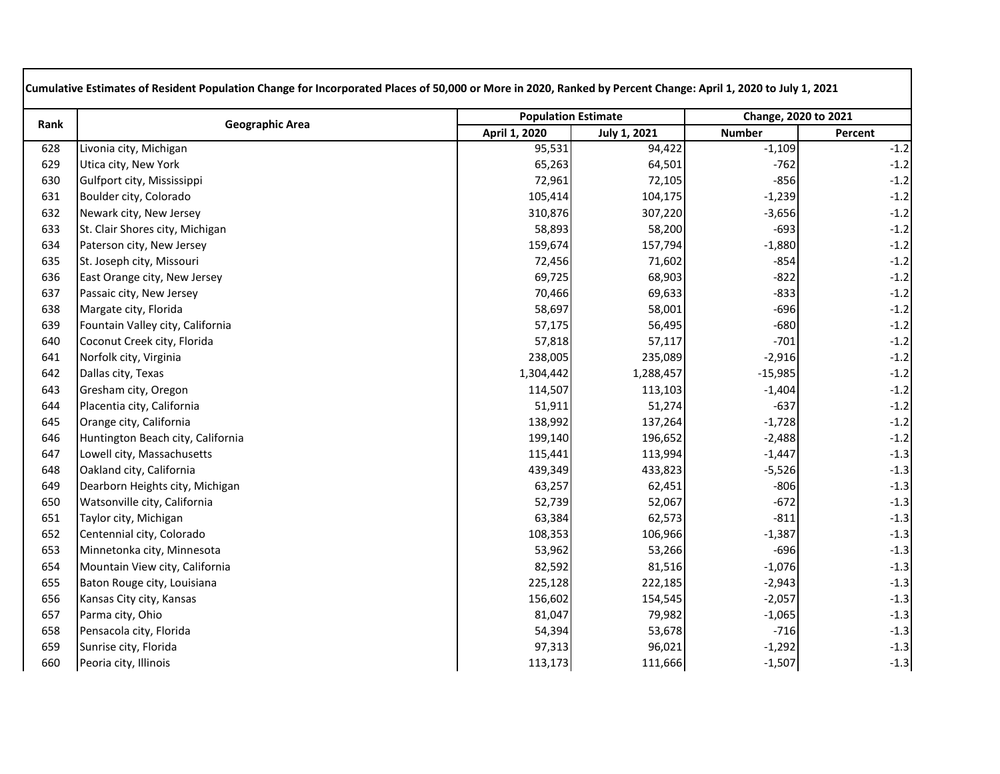| Rank | <b>Geographic Area</b>            | <b>Population Estimate</b> |                     | Change, 2020 to 2021 |         |
|------|-----------------------------------|----------------------------|---------------------|----------------------|---------|
|      |                                   | April 1, 2020              | <b>July 1, 2021</b> | <b>Number</b>        | Percent |
| 628  | Livonia city, Michigan            | 95,531                     | 94,422              | $-1,109$             | $-1.2$  |
| 629  | Utica city, New York              | 65,263                     | 64,501              | $-762$               | $-1.2$  |
| 630  | Gulfport city, Mississippi        | 72,961                     | 72,105              | $-856$               | $-1.2$  |
| 631  | Boulder city, Colorado            | 105,414                    | 104,175             | $-1,239$             | $-1.2$  |
| 632  | Newark city, New Jersey           | 310,876                    | 307,220             | $-3,656$             | $-1.2$  |
| 633  | St. Clair Shores city, Michigan   | 58,893                     | 58,200              | $-693$               | $-1.2$  |
| 634  | Paterson city, New Jersey         | 159,674                    | 157,794             | $-1,880$             | $-1.2$  |
| 635  | St. Joseph city, Missouri         | 72,456                     | 71,602              | $-854$               | $-1.2$  |
| 636  | East Orange city, New Jersey      | 69,725                     | 68,903              | $-822$               | $-1.2$  |
| 637  | Passaic city, New Jersey          | 70,466                     | 69,633              | $-833$               | $-1.2$  |
| 638  | Margate city, Florida             | 58,697                     | 58,001              | $-696$               | $-1.2$  |
| 639  | Fountain Valley city, California  | 57,175                     | 56,495              | $-680$               | $-1.2$  |
| 640  | Coconut Creek city, Florida       | 57,818                     | 57,117              | $-701$               | $-1.2$  |
| 641  | Norfolk city, Virginia            | 238,005                    | 235,089             | $-2,916$             | $-1.2$  |
| 642  | Dallas city, Texas                | 1,304,442                  | 1,288,457           | $-15,985$            | $-1.2$  |
| 643  | Gresham city, Oregon              | 114,507                    | 113,103             | $-1,404$             | $-1.2$  |
| 644  | Placentia city, California        | 51,911                     | 51,274              | $-637$               | $-1.2$  |
| 645  | Orange city, California           | 138,992                    | 137,264             | $-1,728$             | $-1.2$  |
| 646  | Huntington Beach city, California | 199,140                    | 196,652             | $-2,488$             | $-1.2$  |
| 647  | Lowell city, Massachusetts        | 115,441                    | 113,994             | $-1,447$             | $-1.3$  |
| 648  | Oakland city, California          | 439,349                    | 433,823             | $-5,526$             | $-1.3$  |
| 649  | Dearborn Heights city, Michigan   | 63,257                     | 62,451              | $-806$               | $-1.3$  |
| 650  | Watsonville city, California      | 52,739                     | 52,067              | $-672$               | $-1.3$  |
| 651  | Taylor city, Michigan             | 63,384                     | 62,573              | $-811$               | $-1.3$  |
| 652  | Centennial city, Colorado         | 108,353                    | 106,966             | $-1,387$             | $-1.3$  |
| 653  | Minnetonka city, Minnesota        | 53,962                     | 53,266              | $-696$               | $-1.3$  |
| 654  | Mountain View city, California    | 82,592                     | 81,516              | $-1,076$             | $-1.3$  |
| 655  | Baton Rouge city, Louisiana       | 225,128                    | 222,185             | $-2,943$             | $-1.3$  |
| 656  | Kansas City city, Kansas          | 156,602                    | 154,545             | $-2,057$             | $-1.3$  |
| 657  | Parma city, Ohio                  | 81,047                     | 79,982              | $-1,065$             | $-1.3$  |
| 658  | Pensacola city, Florida           | 54,394                     | 53,678              | $-716$               | $-1.3$  |
| 659  | Sunrise city, Florida             | 97,313                     | 96,021              | $-1,292$             | $-1.3$  |
| 660  | Peoria city, Illinois             | 113,173                    | 111,666             | $-1,507$             | $-1.3$  |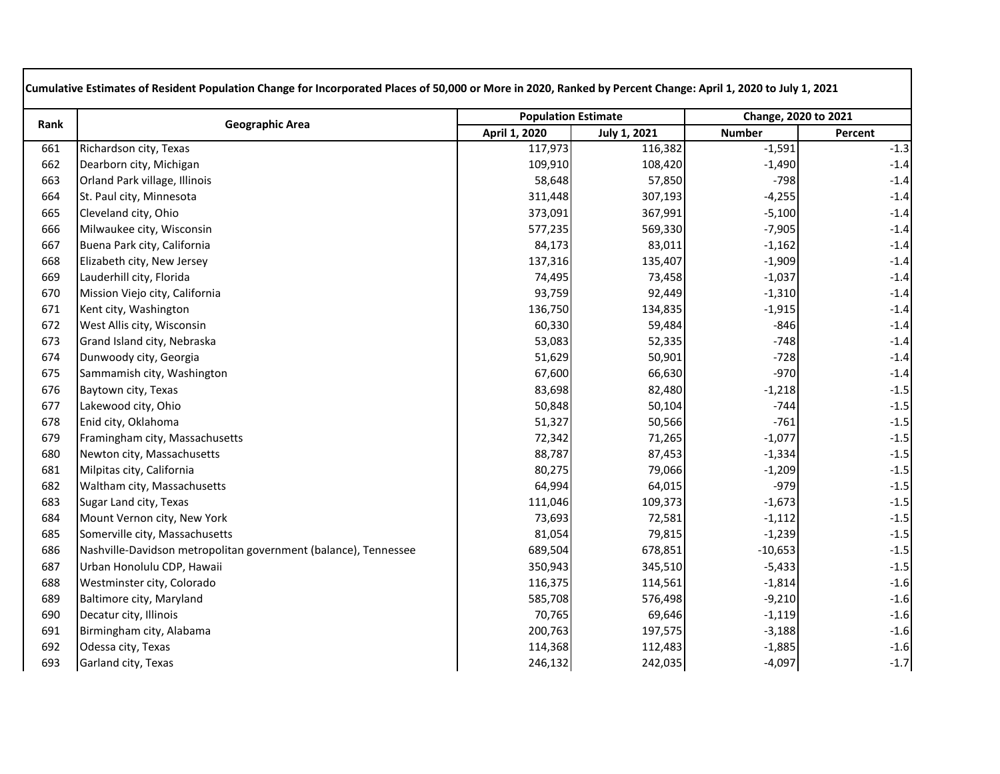| Rank |                                                                 | <b>Population Estimate</b> |              | Change, 2020 to 2021 |         |
|------|-----------------------------------------------------------------|----------------------------|--------------|----------------------|---------|
|      | <b>Geographic Area</b>                                          | April 1, 2020              | July 1, 2021 | <b>Number</b>        | Percent |
| 661  | Richardson city, Texas                                          | 117,973                    | 116,382      | $-1,591$             | $-1.3$  |
| 662  | Dearborn city, Michigan                                         | 109,910                    | 108,420      | $-1,490$             | $-1.4$  |
| 663  | Orland Park village, Illinois                                   | 58,648                     | 57,850       | $-798$               | $-1.4$  |
| 664  | St. Paul city, Minnesota                                        | 311,448                    | 307,193      | $-4,255$             | $-1.4$  |
| 665  | Cleveland city, Ohio                                            | 373,091                    | 367,991      | $-5,100$             | $-1.4$  |
| 666  | Milwaukee city, Wisconsin                                       | 577,235                    | 569,330      | $-7,905$             | $-1.4$  |
| 667  | Buena Park city, California                                     | 84,173                     | 83,011       | $-1,162$             | $-1.4$  |
| 668  | Elizabeth city, New Jersey                                      | 137,316                    | 135,407      | $-1,909$             | $-1.4$  |
| 669  | Lauderhill city, Florida                                        | 74,495                     | 73,458       | $-1,037$             | $-1.4$  |
| 670  | Mission Viejo city, California                                  | 93,759                     | 92,449       | $-1,310$             | $-1.4$  |
| 671  | Kent city, Washington                                           | 136,750                    | 134,835      | $-1,915$             | $-1.4$  |
| 672  | West Allis city, Wisconsin                                      | 60,330                     | 59,484       | $-846$               | $-1.4$  |
| 673  | Grand Island city, Nebraska                                     | 53,083                     | 52,335       | $-748$               | $-1.4$  |
| 674  | Dunwoody city, Georgia                                          | 51,629                     | 50,901       | $-728$               | $-1.4$  |
| 675  | Sammamish city, Washington                                      | 67,600                     | 66,630       | $-970$               | $-1.4$  |
| 676  | Baytown city, Texas                                             | 83,698                     | 82,480       | $-1,218$             | $-1.5$  |
| 677  | Lakewood city, Ohio                                             | 50,848                     | 50,104       | $-744$               | $-1.5$  |
| 678  | Enid city, Oklahoma                                             | 51,327                     | 50,566       | $-761$               | $-1.5$  |
| 679  | Framingham city, Massachusetts                                  | 72,342                     | 71,265       | $-1,077$             | $-1.5$  |
| 680  | Newton city, Massachusetts                                      | 88,787                     | 87,453       | $-1,334$             | $-1.5$  |
| 681  | Milpitas city, California                                       | 80,275                     | 79,066       | $-1,209$             | $-1.5$  |
| 682  | Waltham city, Massachusetts                                     | 64,994                     | 64,015       | $-979$               | $-1.5$  |
| 683  | Sugar Land city, Texas                                          | 111,046                    | 109,373      | $-1,673$             | $-1.5$  |
| 684  | Mount Vernon city, New York                                     | 73,693                     | 72,581       | $-1,112$             | $-1.5$  |
| 685  | Somerville city, Massachusetts                                  | 81,054                     | 79,815       | $-1,239$             | $-1.5$  |
| 686  | Nashville-Davidson metropolitan government (balance), Tennessee | 689,504                    | 678,851      | $-10,653$            | $-1.5$  |
| 687  | Urban Honolulu CDP, Hawaii                                      | 350,943                    | 345,510      | $-5,433$             | $-1.5$  |
| 688  | Westminster city, Colorado                                      | 116,375                    | 114,561      | $-1,814$             | $-1.6$  |
| 689  | Baltimore city, Maryland                                        | 585,708                    | 576,498      | $-9,210$             | $-1.6$  |
| 690  | Decatur city, Illinois                                          | 70,765                     | 69,646       | $-1,119$             | $-1.6$  |
| 691  | Birmingham city, Alabama                                        | 200,763                    | 197,575      | $-3,188$             | $-1.6$  |
| 692  | Odessa city, Texas                                              | 114,368                    | 112,483      | $-1,885$             | $-1.6$  |
| 693  | Garland city, Texas                                             | 246,132                    | 242,035      | $-4,097$             | $-1.7$  |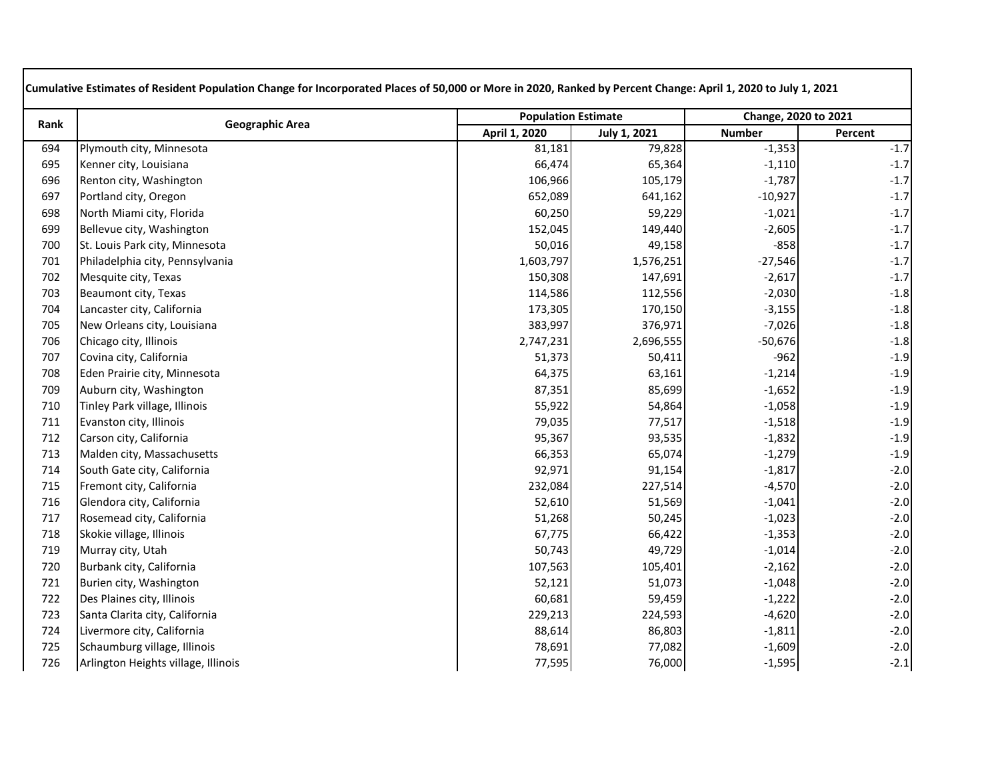| Rank | <b>Geographic Area</b>              | <b>Population Estimate</b> |              | Change, 2020 to 2021 |         |
|------|-------------------------------------|----------------------------|--------------|----------------------|---------|
|      |                                     | April 1, 2020              | July 1, 2021 | <b>Number</b>        | Percent |
| 694  | Plymouth city, Minnesota            | 81,181                     | 79,828       | $-1,353$             | $-1.7$  |
| 695  | Kenner city, Louisiana              | 66,474                     | 65,364       | $-1,110$             | $-1.7$  |
| 696  | Renton city, Washington             | 106,966                    | 105,179      | $-1,787$             | $-1.7$  |
| 697  | Portland city, Oregon               | 652,089                    | 641,162      | $-10,927$            | $-1.7$  |
| 698  | North Miami city, Florida           | 60,250                     | 59,229       | $-1,021$             | $-1.7$  |
| 699  | Bellevue city, Washington           | 152,045                    | 149,440      | $-2,605$             | $-1.7$  |
| 700  | St. Louis Park city, Minnesota      | 50,016                     | 49,158       | $-858$               | $-1.7$  |
| 701  | Philadelphia city, Pennsylvania     | 1,603,797                  | 1,576,251    | $-27,546$            | $-1.7$  |
| 702  | Mesquite city, Texas                | 150,308                    | 147,691      | $-2,617$             | $-1.7$  |
| 703  | Beaumont city, Texas                | 114,586                    | 112,556      | $-2,030$             | $-1.8$  |
| 704  | Lancaster city, California          | 173,305                    | 170,150      | $-3,155$             | $-1.8$  |
| 705  | New Orleans city, Louisiana         | 383,997                    | 376,971      | $-7,026$             | $-1.8$  |
| 706  | Chicago city, Illinois              | 2,747,231                  | 2,696,555    | $-50,676$            | $-1.8$  |
| 707  | Covina city, California             | 51,373                     | 50,411       | $-962$               | $-1.9$  |
| 708  | Eden Prairie city, Minnesota        | 64,375                     | 63,161       | $-1,214$             | $-1.9$  |
| 709  | Auburn city, Washington             | 87,351                     | 85,699       | $-1,652$             | $-1.9$  |
| 710  | Tinley Park village, Illinois       | 55,922                     | 54,864       | $-1,058$             | $-1.9$  |
| 711  | Evanston city, Illinois             | 79,035                     | 77,517       | $-1,518$             | $-1.9$  |
| 712  | Carson city, California             | 95,367                     | 93,535       | $-1,832$             | $-1.9$  |
| 713  | Malden city, Massachusetts          | 66,353                     | 65,074       | $-1,279$             | $-1.9$  |
| 714  | South Gate city, California         | 92,971                     | 91,154       | $-1,817$             | $-2.0$  |
| 715  | Fremont city, California            | 232,084                    | 227,514      | $-4,570$             | $-2.0$  |
| 716  | Glendora city, California           | 52,610                     | 51,569       | $-1,041$             | $-2.0$  |
| 717  | Rosemead city, California           | 51,268                     | 50,245       | $-1,023$             | $-2.0$  |
| 718  | Skokie village, Illinois            | 67,775                     | 66,422       | $-1,353$             | $-2.0$  |
| 719  | Murray city, Utah                   | 50,743                     | 49,729       | $-1,014$             | $-2.0$  |
| 720  | Burbank city, California            | 107,563                    | 105,401      | $-2,162$             | $-2.0$  |
| 721  | Burien city, Washington             | 52,121                     | 51,073       | $-1,048$             | $-2.0$  |
| 722  | Des Plaines city, Illinois          | 60,681                     | 59,459       | $-1,222$             | $-2.0$  |
| 723  | Santa Clarita city, California      | 229,213                    | 224,593      | $-4,620$             | $-2.0$  |
| 724  | Livermore city, California          | 88,614                     | 86,803       | $-1,811$             | $-2.0$  |
| 725  | Schaumburg village, Illinois        | 78,691                     | 77,082       | $-1,609$             | $-2.0$  |
| 726  | Arlington Heights village, Illinois | 77,595                     | 76,000       | $-1,595$             | $-2.1$  |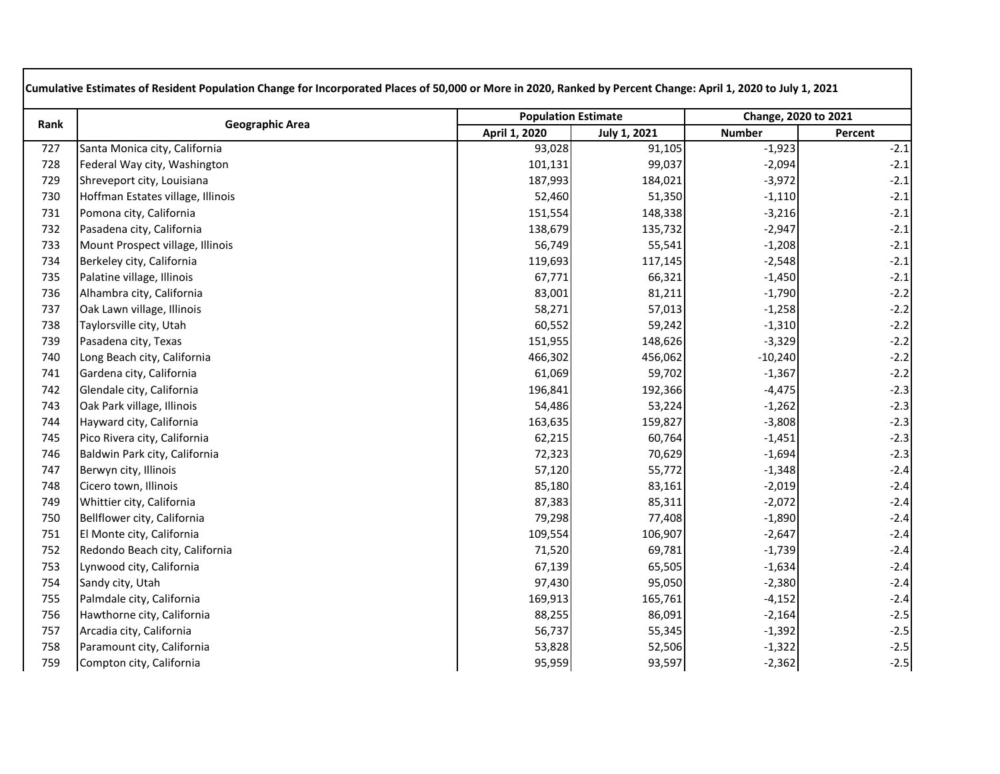| Rank | <b>Geographic Area</b>            | <b>Population Estimate</b> |              | Change, 2020 to 2021 |         |
|------|-----------------------------------|----------------------------|--------------|----------------------|---------|
|      |                                   | April 1, 2020              | July 1, 2021 | <b>Number</b>        | Percent |
| 727  | Santa Monica city, California     | 93,028                     | 91,105       | $-1,923$             | $-2.1$  |
| 728  | Federal Way city, Washington      | 101,131                    | 99,037       | $-2,094$             | $-2.1$  |
| 729  | Shreveport city, Louisiana        | 187,993                    | 184,021      | $-3,972$             | $-2.1$  |
| 730  | Hoffman Estates village, Illinois | 52,460                     | 51,350       | $-1,110$             | $-2.1$  |
| 731  | Pomona city, California           | 151,554                    | 148,338      | $-3,216$             | $-2.1$  |
| 732  | Pasadena city, California         | 138,679                    | 135,732      | $-2,947$             | $-2.1$  |
| 733  | Mount Prospect village, Illinois  | 56,749                     | 55,541       | $-1,208$             | $-2.1$  |
| 734  | Berkeley city, California         | 119,693                    | 117,145      | $-2,548$             | $-2.1$  |
| 735  | Palatine village, Illinois        | 67,771                     | 66,321       | $-1,450$             | $-2.1$  |
| 736  | Alhambra city, California         | 83,001                     | 81,211       | $-1,790$             | $-2.2$  |
| 737  | Oak Lawn village, Illinois        | 58,271                     | 57,013       | $-1,258$             | $-2.2$  |
| 738  | Taylorsville city, Utah           | 60,552                     | 59,242       | $-1,310$             | $-2.2$  |
| 739  | Pasadena city, Texas              | 151,955                    | 148,626      | $-3,329$             | $-2.2$  |
| 740  | Long Beach city, California       | 466,302                    | 456,062      | $-10,240$            | $-2.2$  |
| 741  | Gardena city, California          | 61,069                     | 59,702       | $-1,367$             | $-2.2$  |
| 742  | Glendale city, California         | 196,841                    | 192,366      | $-4,475$             | $-2.3$  |
| 743  | Oak Park village, Illinois        | 54,486                     | 53,224       | $-1,262$             | $-2.3$  |
| 744  | Hayward city, California          | 163,635                    | 159,827      | $-3,808$             | $-2.3$  |
| 745  | Pico Rivera city, California      | 62,215                     | 60,764       | $-1,451$             | $-2.3$  |
| 746  | Baldwin Park city, California     | 72,323                     | 70,629       | $-1,694$             | $-2.3$  |
| 747  | Berwyn city, Illinois             | 57,120                     | 55,772       | $-1,348$             | $-2.4$  |
| 748  | Cicero town, Illinois             | 85,180                     | 83,161       | $-2,019$             | $-2.4$  |
| 749  | Whittier city, California         | 87,383                     | 85,311       | $-2,072$             | $-2.4$  |
| 750  | Bellflower city, California       | 79,298                     | 77,408       | $-1,890$             | $-2.4$  |
| 751  | El Monte city, California         | 109,554                    | 106,907      | $-2,647$             | $-2.4$  |
| 752  | Redondo Beach city, California    | 71,520                     | 69,781       | $-1,739$             | $-2.4$  |
| 753  | Lynwood city, California          | 67,139                     | 65,505       | $-1,634$             | $-2.4$  |
| 754  | Sandy city, Utah                  | 97,430                     | 95,050       | $-2,380$             | $-2.4$  |
| 755  | Palmdale city, California         | 169,913                    | 165,761      | $-4,152$             | $-2.4$  |
| 756  | Hawthorne city, California        | 88,255                     | 86,091       | $-2,164$             | $-2.5$  |
| 757  | Arcadia city, California          | 56,737                     | 55,345       | $-1,392$             | $-2.5$  |
| 758  | Paramount city, California        | 53,828                     | 52,506       | $-1,322$             | $-2.5$  |
| 759  | Compton city, California          | 95,959                     | 93,597       | $-2,362$             | $-2.5$  |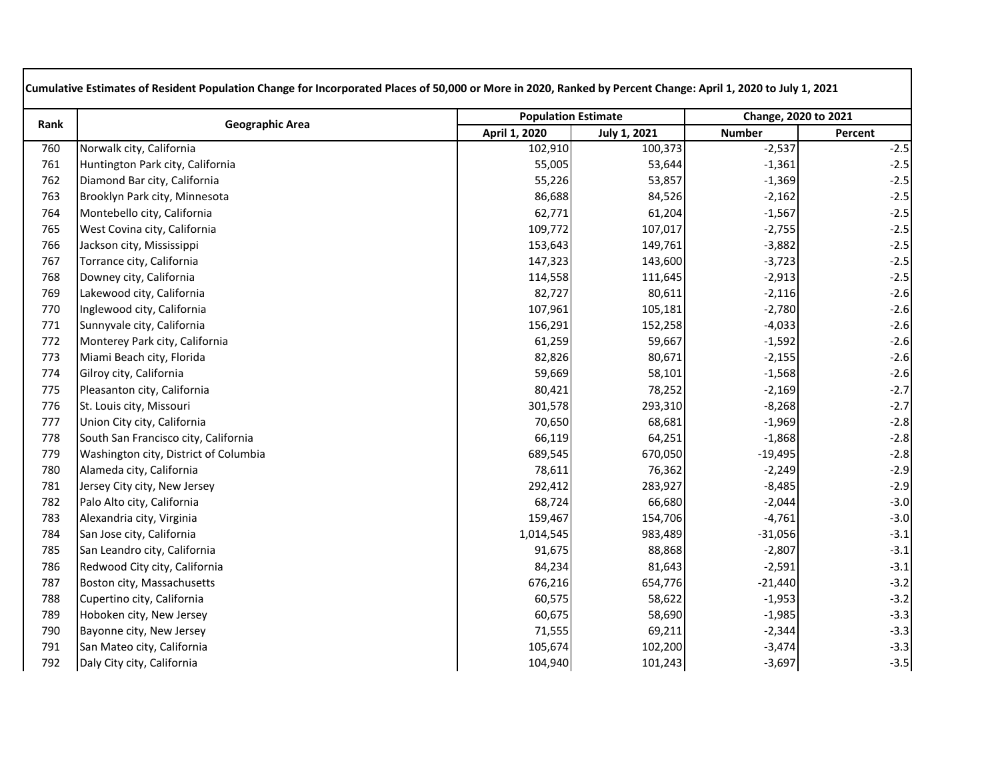| Rank | <b>Geographic Area</b>                | <b>Population Estimate</b> |                     | Change, 2020 to 2021 |         |
|------|---------------------------------------|----------------------------|---------------------|----------------------|---------|
|      |                                       | April 1, 2020              | <b>July 1, 2021</b> | <b>Number</b>        | Percent |
| 760  | Norwalk city, California              | 102,910                    | 100,373             | $-2,537$             | $-2.5$  |
| 761  | Huntington Park city, California      | 55,005                     | 53,644              | $-1,361$             | $-2.5$  |
| 762  | Diamond Bar city, California          | 55,226                     | 53,857              | $-1,369$             | $-2.5$  |
| 763  | Brooklyn Park city, Minnesota         | 86,688                     | 84,526              | $-2,162$             | $-2.5$  |
| 764  | Montebello city, California           | 62,771                     | 61,204              | $-1,567$             | $-2.5$  |
| 765  | West Covina city, California          | 109,772                    | 107,017             | $-2,755$             | $-2.5$  |
| 766  | Jackson city, Mississippi             | 153,643                    | 149,761             | $-3,882$             | $-2.5$  |
| 767  | Torrance city, California             | 147,323                    | 143,600             | $-3,723$             | $-2.5$  |
| 768  | Downey city, California               | 114,558                    | 111,645             | $-2,913$             | $-2.5$  |
| 769  | Lakewood city, California             | 82,727                     | 80,611              | $-2,116$             | $-2.6$  |
| 770  | Inglewood city, California            | 107,961                    | 105,181             | $-2,780$             | $-2.6$  |
| 771  | Sunnyvale city, California            | 156,291                    | 152,258             | $-4,033$             | $-2.6$  |
| 772  | Monterey Park city, California        | 61,259                     | 59,667              | $-1,592$             | $-2.6$  |
| 773  | Miami Beach city, Florida             | 82,826                     | 80,671              | $-2,155$             | $-2.6$  |
| 774  | Gilroy city, California               | 59,669                     | 58,101              | $-1,568$             | $-2.6$  |
| 775  | Pleasanton city, California           | 80,421                     | 78,252              | $-2,169$             | $-2.7$  |
| 776  | St. Louis city, Missouri              | 301,578                    | 293,310             | $-8,268$             | $-2.7$  |
| 777  | Union City city, California           | 70,650                     | 68,681              | $-1,969$             | $-2.8$  |
| 778  | South San Francisco city, California  | 66,119                     | 64,251              | $-1,868$             | $-2.8$  |
| 779  | Washington city, District of Columbia | 689,545                    | 670,050             | $-19,495$            | $-2.8$  |
| 780  | Alameda city, California              | 78,611                     | 76,362              | $-2,249$             | $-2.9$  |
| 781  | Jersey City city, New Jersey          | 292,412                    | 283,927             | $-8,485$             | $-2.9$  |
| 782  | Palo Alto city, California            | 68,724                     | 66,680              | $-2,044$             | $-3.0$  |
| 783  | Alexandria city, Virginia             | 159,467                    | 154,706             | $-4,761$             | $-3.0$  |
| 784  | San Jose city, California             | 1,014,545                  | 983,489             | $-31,056$            | $-3.1$  |
| 785  | San Leandro city, California          | 91,675                     | 88,868              | $-2,807$             | $-3.1$  |
| 786  | Redwood City city, California         | 84,234                     | 81,643              | $-2,591$             | $-3.1$  |
| 787  | Boston city, Massachusetts            | 676,216                    | 654,776             | $-21,440$            | $-3.2$  |
| 788  | Cupertino city, California            | 60,575                     | 58,622              | $-1,953$             | $-3.2$  |
| 789  | Hoboken city, New Jersey              | 60,675                     | 58,690              | $-1,985$             | $-3.3$  |
| 790  | Bayonne city, New Jersey              | 71,555                     | 69,211              | $-2,344$             | $-3.3$  |
| 791  | San Mateo city, California            | 105,674                    | 102,200             | $-3,474$             | $-3.3$  |
| 792  | Daly City city, California            | 104,940                    | 101,243             | $-3,697$             | $-3.5$  |